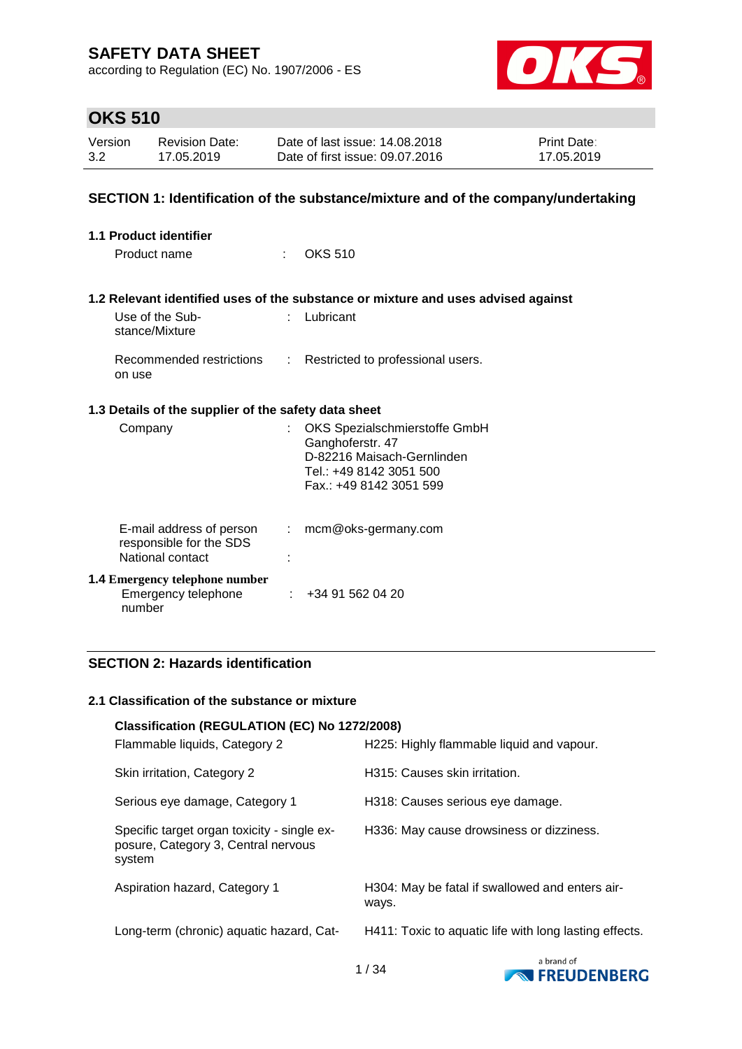according to Regulation (EC) No. 1907/2006 - ES



# **OKS 510**

| Version | <b>Revision Date:</b> | Date of last issue: 14.08.2018  | <b>Print Date:</b> |
|---------|-----------------------|---------------------------------|--------------------|
| 3.2     | 17.05.2019            | Date of first issue: 09.07.2016 | 17.05.2019         |

### **SECTION 1: Identification of the substance/mixture and of the company/undertaking**

| 1.1 Product identifier                                                       |                                                                                                                                      |
|------------------------------------------------------------------------------|--------------------------------------------------------------------------------------------------------------------------------------|
| Product name                                                                 | $\frac{1}{2}$ OKS 510                                                                                                                |
|                                                                              | 1.2 Relevant identified uses of the substance or mixture and uses advised against                                                    |
| Use of the Sub-<br>stance/Mixture                                            | Lubricant                                                                                                                            |
| Recommended restrictions<br>on use                                           | : Restricted to professional users.                                                                                                  |
| 1.3 Details of the supplier of the safety data sheet                         |                                                                                                                                      |
| Company                                                                      | OKS Spezialschmierstoffe GmbH<br>Ganghoferstr. 47<br>D-82216 Maisach-Gernlinden<br>Tel.: +49 8142 3051 500<br>Fax: +49 8142 3051 599 |
| E-mail address of person<br>÷<br>responsible for the SDS<br>National contact | mcm@oks-germany.com                                                                                                                  |
| <b>1.4 Emergency telephone number</b><br>Emergency telephone<br>number       | +34 91 562 04 20                                                                                                                     |

### **SECTION 2: Hazards identification**

#### **2.1 Classification of the substance or mixture**

| Classification (REGULATION (EC) No 1272/2008)<br>Flammable liquids, Category 2               | H225: Highly flammable liquid and vapour.                |
|----------------------------------------------------------------------------------------------|----------------------------------------------------------|
| Skin irritation, Category 2                                                                  | H315: Causes skin irritation.                            |
| Serious eye damage, Category 1                                                               | H318: Causes serious eye damage.                         |
| Specific target organ toxicity - single ex-<br>posure, Category 3, Central nervous<br>system | H336: May cause drowsiness or dizziness.                 |
| Aspiration hazard, Category 1                                                                | H304: May be fatal if swallowed and enters air-<br>ways. |
| Long-term (chronic) aquatic hazard, Cat-                                                     | H411: Toxic to aquatic life with long lasting effects.   |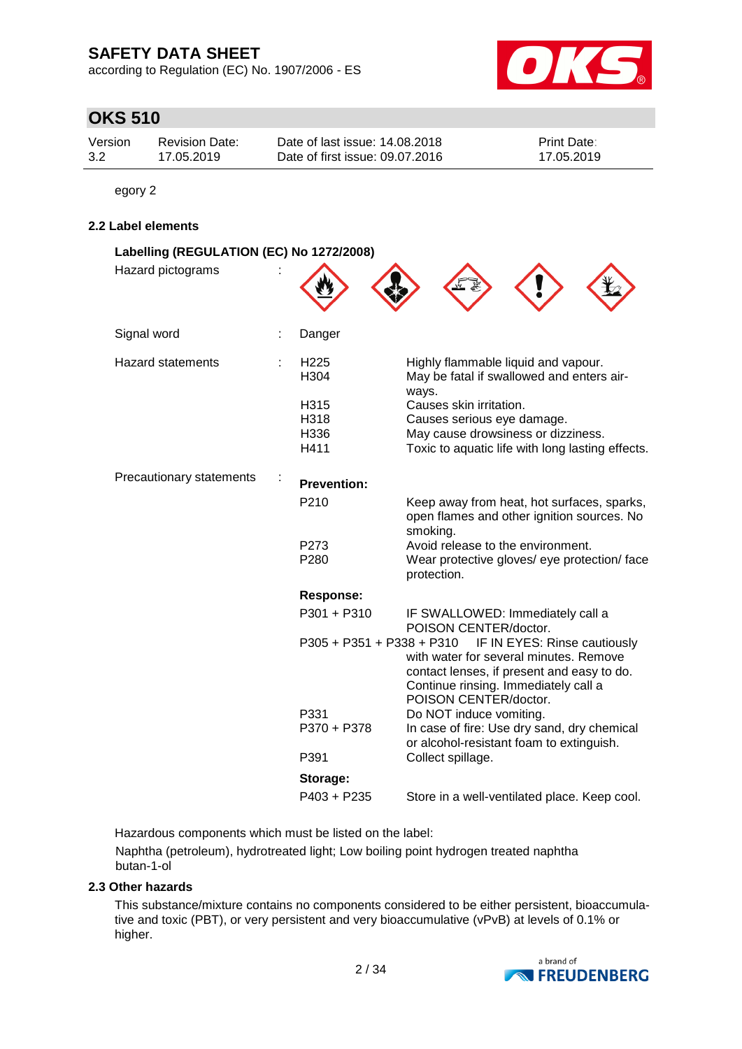according to Regulation (EC) No. 1907/2006 - ES



# **OKS 510**

| Version | Revision Date: | Date of last issue: 14.08.2018  | <b>Print Date:</b> |
|---------|----------------|---------------------------------|--------------------|
| 3.2     | 17.05.2019     | Date of first issue: 09.07.2016 | 17.05.2019         |

egory 2

### **2.2 Label elements**

| Labelling (REGULATION (EC) No 1272/2008) |                          |                                                                                                                                                       |
|------------------------------------------|--------------------------|-------------------------------------------------------------------------------------------------------------------------------------------------------|
| Hazard pictograms                        |                          |                                                                                                                                                       |
| Signal word                              | Danger                   |                                                                                                                                                       |
| <b>Hazard statements</b>                 | H <sub>225</sub><br>H304 | Highly flammable liquid and vapour.<br>May be fatal if swallowed and enters air-<br>ways.                                                             |
|                                          | H315                     | Causes skin irritation.                                                                                                                               |
|                                          | H318                     | Causes serious eye damage.                                                                                                                            |
|                                          | H336                     | May cause drowsiness or dizziness.                                                                                                                    |
|                                          | H411                     | Toxic to aquatic life with long lasting effects.                                                                                                      |
| Precautionary statements                 | <b>Prevention:</b>       |                                                                                                                                                       |
|                                          | P210                     | Keep away from heat, hot surfaces, sparks,<br>open flames and other ignition sources. No<br>smoking.                                                  |
|                                          | P <sub>273</sub>         | Avoid release to the environment.                                                                                                                     |
|                                          | P <sub>280</sub>         | Wear protective gloves/ eye protection/ face<br>protection.                                                                                           |
|                                          | <b>Response:</b>         |                                                                                                                                                       |
|                                          | P301 + P310              | IF SWALLOWED: Immediately call a<br>POISON CENTER/doctor.                                                                                             |
|                                          |                          | P305 + P351 + P338 + P310 IF IN EYES: Rinse cautiously                                                                                                |
|                                          |                          | with water for several minutes. Remove<br>contact lenses, if present and easy to do.<br>Continue rinsing. Immediately call a<br>POISON CENTER/doctor. |
|                                          | P331                     | Do NOT induce vomiting.                                                                                                                               |
|                                          | P370 + P378              | In case of fire: Use dry sand, dry chemical<br>or alcohol-resistant foam to extinguish.                                                               |
|                                          | P391                     | Collect spillage.                                                                                                                                     |
|                                          | Storage:                 |                                                                                                                                                       |
|                                          | $P403 + P235$            | Store in a well-ventilated place. Keep cool.                                                                                                          |

Hazardous components which must be listed on the label:

Naphtha (petroleum), hydrotreated light; Low boiling point hydrogen treated naphtha butan-1-ol

### **2.3 Other hazards**

This substance/mixture contains no components considered to be either persistent, bioaccumulative and toxic (PBT), or very persistent and very bioaccumulative (vPvB) at levels of 0.1% or higher.

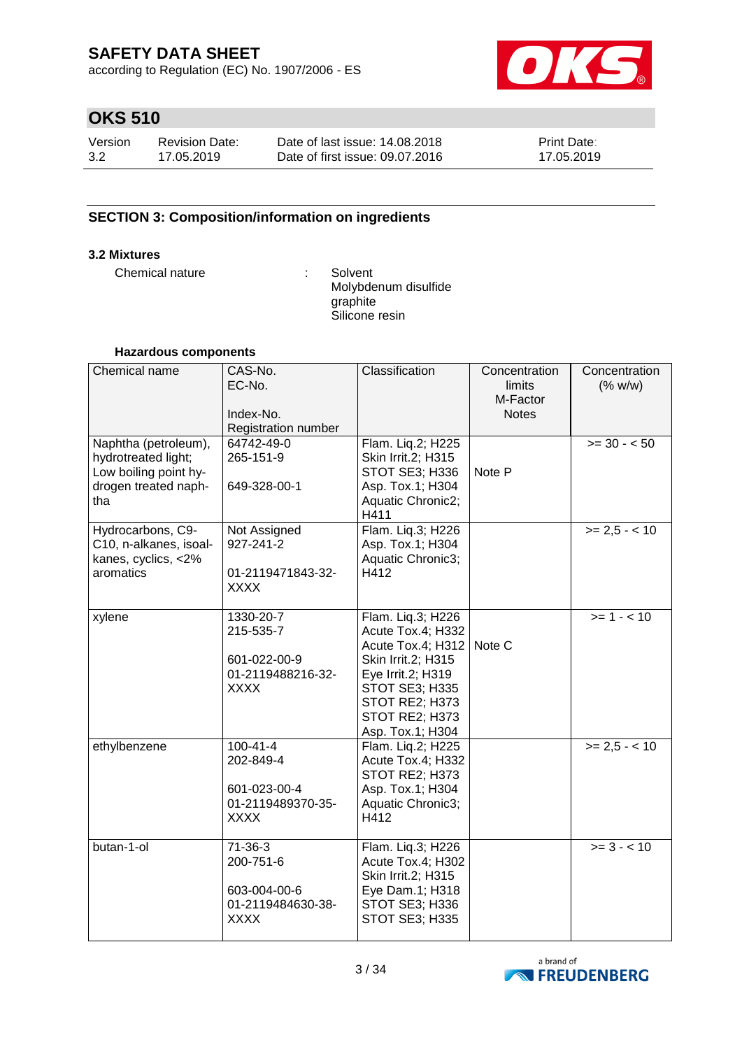according to Regulation (EC) No. 1907/2006 - ES



# **OKS 510**

| Version | Revision Date: | Date of last issue: 14.08.2018  | <b>Print Date:</b> |
|---------|----------------|---------------------------------|--------------------|
| 3.2     | 17.05.2019     | Date of first issue: 09.07.2016 | 17.05.2019         |

### **SECTION 3: Composition/information on ingredients**

### **3.2 Mixtures**

Chemical nature : Solvent

Molybdenum disulfide graphite Silicone resin

### **Hazardous components**

| Chemical name                                                                                       | CAS-No.<br>EC-No.<br>Index-No.<br>Registration number                           | Classification                                                                                                                                                                            | Concentration<br>limits<br>M-Factor<br><b>Notes</b> | Concentration<br>(% w/w) |
|-----------------------------------------------------------------------------------------------------|---------------------------------------------------------------------------------|-------------------------------------------------------------------------------------------------------------------------------------------------------------------------------------------|-----------------------------------------------------|--------------------------|
| Naphtha (petroleum),<br>hydrotreated light;<br>Low boiling point hy-<br>drogen treated naph-<br>tha | 64742-49-0<br>265-151-9<br>649-328-00-1                                         | Flam. Liq.2; H225<br>Skin Irrit.2; H315<br>STOT SE3; H336<br>Asp. Tox.1; H304<br>Aquatic Chronic2;<br>H411                                                                                | Note P                                              | $>= 30 - 50$             |
| Hydrocarbons, C9-<br>C10, n-alkanes, isoal-<br>kanes, cyclics, <2%<br>aromatics                     | Not Assigned<br>927-241-2<br>01-2119471843-32-<br><b>XXXX</b>                   | Flam. Liq.3; H226<br>Asp. Tox.1; H304<br>Aquatic Chronic3;<br>H412                                                                                                                        |                                                     | $>= 2.5 - < 10$          |
| xylene                                                                                              | 1330-20-7<br>215-535-7<br>601-022-00-9<br>01-2119488216-32-<br><b>XXXX</b>      | Flam. Liq.3; H226<br>Acute Tox.4; H332<br>Acute Tox.4; H312   Note C<br>Skin Irrit.2; H315<br>Eye Irrit.2; H319<br>STOT SE3; H335<br>STOT RE2; H373<br>STOT RE2; H373<br>Asp. Tox.1; H304 |                                                     | $>= 1 - 10$              |
| ethylbenzene                                                                                        | $100 - 41 - 4$<br>202-849-4<br>601-023-00-4<br>01-2119489370-35-<br><b>XXXX</b> | Flam. Liq.2; H225<br>Acute Tox.4; H332<br>STOT RE2; H373<br>Asp. Tox.1; H304<br>Aquatic Chronic3;<br>H412                                                                                 |                                                     | $>= 2,5 - < 10$          |
| butan-1-ol                                                                                          | $71 - 36 - 3$<br>200-751-6<br>603-004-00-6<br>01-2119484630-38-<br><b>XXXX</b>  | Flam. Liq.3; H226<br>Acute Tox.4; H302<br>Skin Irrit.2; H315<br>Eye Dam.1; H318<br>STOT SE3; H336<br>STOT SE3; H335                                                                       |                                                     | $>= 3 - 10$              |

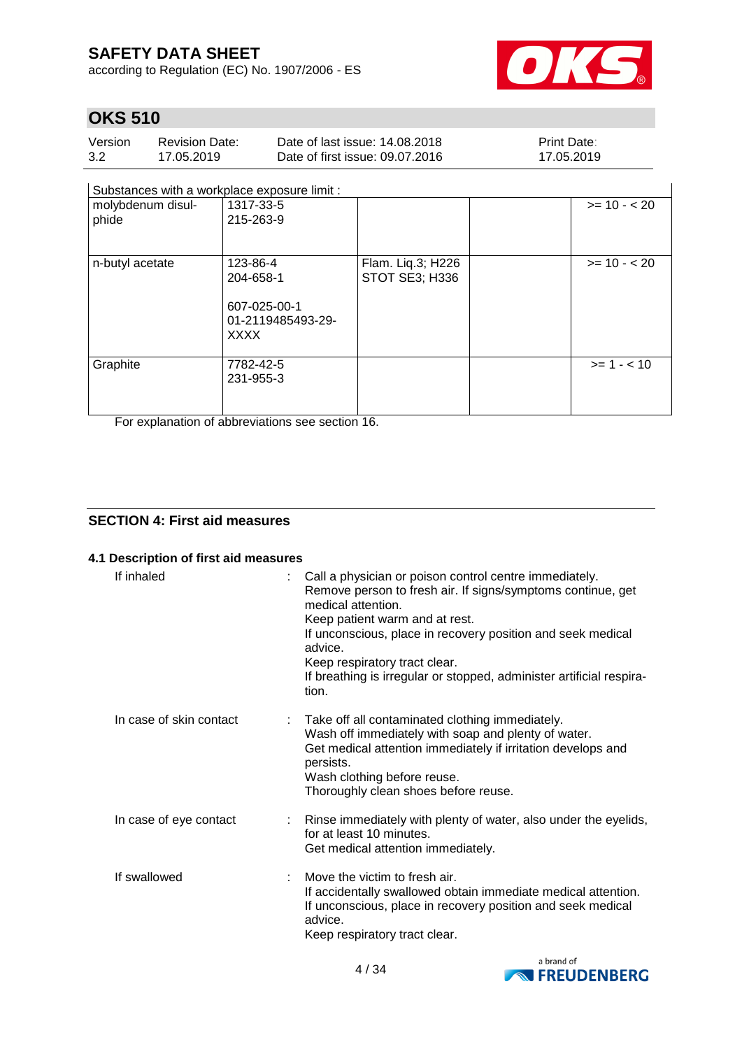according to Regulation (EC) No. 1907/2006 - ES



# **OKS 510**

| Version | <b>Revision Date:</b> | Date of last issue: 14,08,2018  | <b>Print Date:</b> |
|---------|-----------------------|---------------------------------|--------------------|
| 3.2     | 17.05.2019            | Date of first issue: 09.07.2016 | 17.05.2019         |

Substances with a workplace exposure limit :

| .                          |                                                                           |                                     |              |
|----------------------------|---------------------------------------------------------------------------|-------------------------------------|--------------|
| molybdenum disul-<br>phide | 1317-33-5<br>215-263-9                                                    |                                     | $>= 10 - 20$ |
| n-butyl acetate            | 123-86-4<br>204-658-1<br>607-025-00-1<br>01-2119485493-29-<br><b>XXXX</b> | Flam. Liq.3; H226<br>STOT SE3; H336 | $>= 10 - 20$ |
| Graphite                   | 7782-42-5<br>231-955-3                                                    |                                     | $>= 1 - 10$  |

For explanation of abbreviations see section 16.

### **SECTION 4: First aid measures**

### **4.1 Description of first aid measures**

| If inhaled              | Call a physician or poison control centre immediately.<br>Remove person to fresh air. If signs/symptoms continue, get<br>medical attention.<br>Keep patient warm and at rest.<br>If unconscious, place in recovery position and seek medical<br>advice.<br>Keep respiratory tract clear.<br>If breathing is irregular or stopped, administer artificial respira-<br>tion. |
|-------------------------|---------------------------------------------------------------------------------------------------------------------------------------------------------------------------------------------------------------------------------------------------------------------------------------------------------------------------------------------------------------------------|
| In case of skin contact | Take off all contaminated clothing immediately.<br>Wash off immediately with soap and plenty of water.<br>Get medical attention immediately if irritation develops and<br>persists.<br>Wash clothing before reuse.<br>Thoroughly clean shoes before reuse.                                                                                                                |
| In case of eye contact  | : Rinse immediately with plenty of water, also under the eyelids,<br>for at least 10 minutes.<br>Get medical attention immediately.                                                                                                                                                                                                                                       |
| If swallowed            | Move the victim to fresh air.<br>If accidentally swallowed obtain immediate medical attention.<br>If unconscious, place in recovery position and seek medical<br>advice.<br>Keep respiratory tract clear.                                                                                                                                                                 |

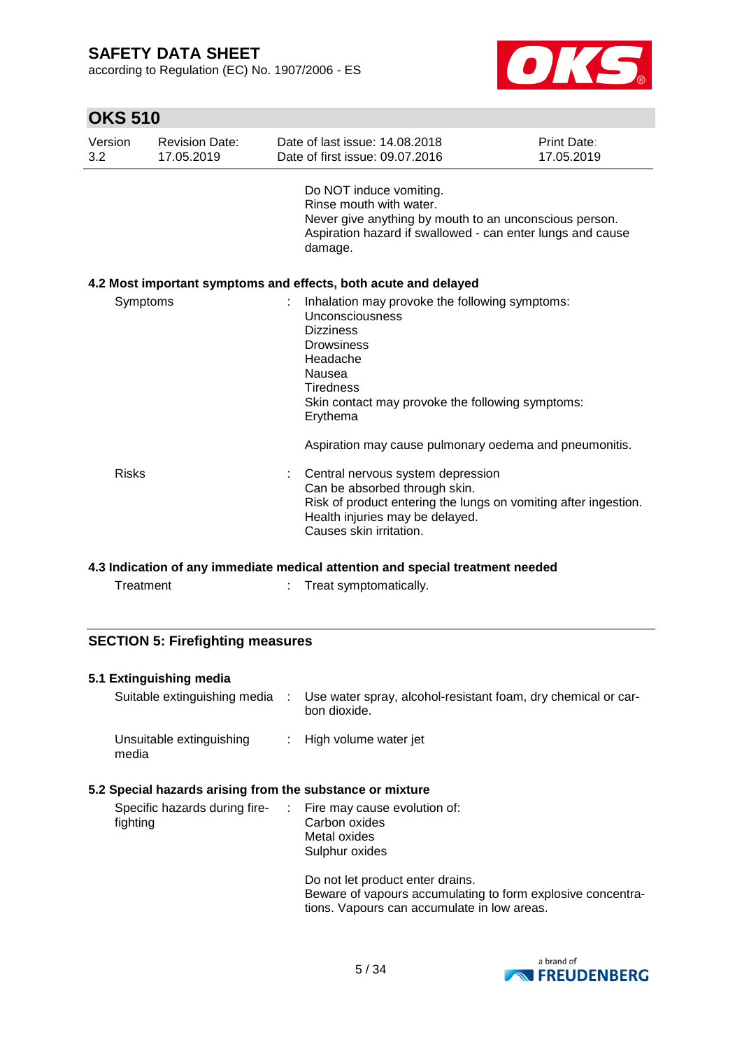according to Regulation (EC) No. 1907/2006 - ES



## **OKS 510**

| Version<br>3.2 | <b>Revision Date:</b><br>17.05.2019 | Date of last issue: 14.08.2018<br>Date of first issue: 09.07.2016                                                                                                                                                    | Print Date:<br>17.05.2019 |
|----------------|-------------------------------------|----------------------------------------------------------------------------------------------------------------------------------------------------------------------------------------------------------------------|---------------------------|
|                |                                     | Do NOT induce vomiting.<br>Rinse mouth with water.<br>Never give anything by mouth to an unconscious person.<br>Aspiration hazard if swallowed - can enter lungs and cause<br>damage.                                |                           |
|                |                                     | 4.2 Most important symptoms and effects, both acute and delayed                                                                                                                                                      |                           |
| Symptoms       |                                     | Inhalation may provoke the following symptoms:<br>Unconsciousness<br><b>Dizziness</b><br><b>Drowsiness</b><br>Headache<br>Nausea<br><b>Tiredness</b><br>Skin contact may provoke the following symptoms:<br>Erythema |                           |
|                |                                     | Aspiration may cause pulmonary oedema and pneumonitis.                                                                                                                                                               |                           |
| <b>Risks</b>   |                                     | Central nervous system depression<br>Can be absorbed through skin.<br>Risk of product entering the lungs on vomiting after ingestion.<br>Health injuries may be delayed.<br>Causes skin irritation.                  |                           |

#### **4.3 Indication of any immediate medical attention and special treatment needed**

| Treat symptomatically.<br>Treatment |
|-------------------------------------|
|-------------------------------------|

### **SECTION 5: Firefighting measures**

### **5.1 Extinguishing media**

| Suitable extinguishing media      | Use water spray, alcohol-resistant foam, dry chemical or car-<br>bon dioxide. |
|-----------------------------------|-------------------------------------------------------------------------------|
| Unsuitable extinguishing<br>media | : High volume water jet                                                       |

#### **5.2 Special hazards arising from the substance or mixture**

| Specific hazards during fire-<br>fighting | $\therefore$ Fire may cause evolution of:<br>Carbon oxides<br>Metal oxides<br>Sulphur oxides |  |
|-------------------------------------------|----------------------------------------------------------------------------------------------|--|
|                                           | De selektrise en ditektrise en die bestied                                                   |  |

Do not let product enter drains. Beware of vapours accumulating to form explosive concentrations. Vapours can accumulate in low areas.

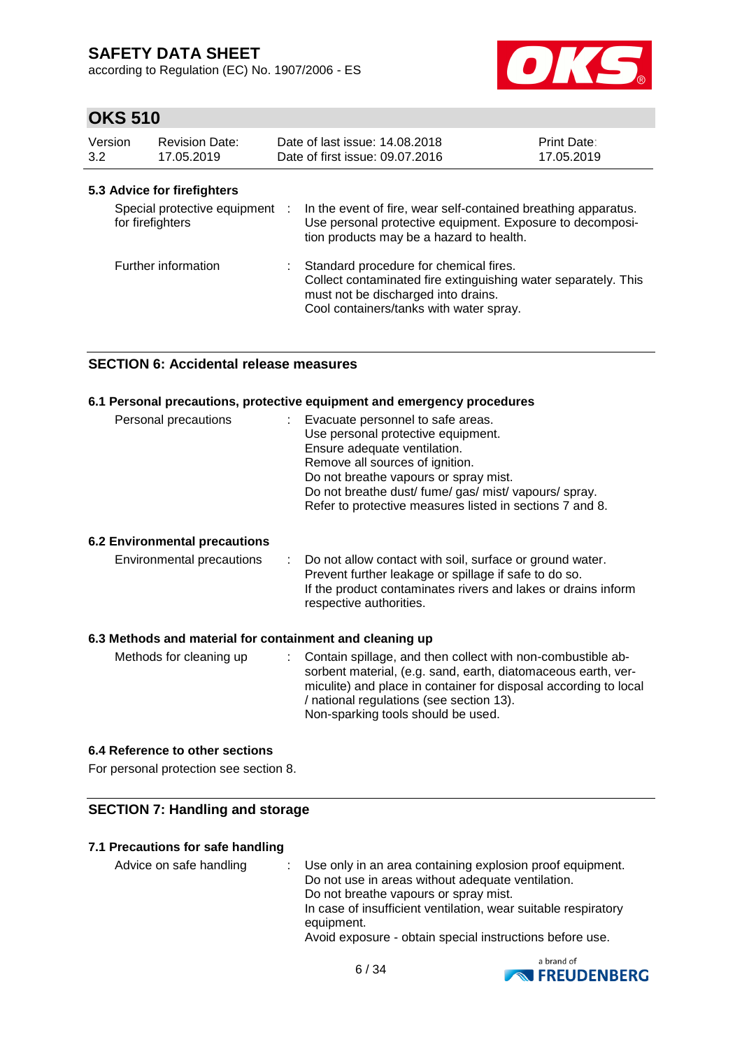according to Regulation (EC) No. 1907/2006 - ES



## **OKS 510**

| Version<br>3.2   | <b>Revision Date:</b><br>17.05.2019                           | Date of last issue: 14,08,2018<br>Date of first issue: 09.07.2016                                                                                                                                                                      | <b>Print Date:</b><br>17.05.2019 |
|------------------|---------------------------------------------------------------|----------------------------------------------------------------------------------------------------------------------------------------------------------------------------------------------------------------------------------------|----------------------------------|
| for firefighters | 5.3 Advice for firefighters<br>Special protective equipment : | In the event of fire, wear self-contained breathing apparatus.<br>Use personal protective equipment. Exposure to decomposi-                                                                                                            |                                  |
|                  | Further information                                           | tion products may be a hazard to health.<br>Standard procedure for chemical fires.<br>Collect contaminated fire extinguishing water separately. This<br>must not be discharged into drains.<br>Cool containers/tanks with water spray. |                                  |

### **SECTION 6: Accidental release measures**

### **6.1 Personal precautions, protective equipment and emergency procedures**

| Personal precautions | : Evacuate personnel to safe areas.<br>Use personal protective equipment.<br>Ensure adequate ventilation.<br>Remove all sources of ignition.<br>Do not breathe vapours or spray mist.<br>Do not breathe dust/ fume/ gas/ mist/ vapours/ spray.<br>Refer to protective measures listed in sections 7 and 8. |
|----------------------|------------------------------------------------------------------------------------------------------------------------------------------------------------------------------------------------------------------------------------------------------------------------------------------------------------|
|----------------------|------------------------------------------------------------------------------------------------------------------------------------------------------------------------------------------------------------------------------------------------------------------------------------------------------------|

### **6.2 Environmental precautions**

| Environmental precautions |  | : Do not allow contact with soil, surface or ground water.<br>Prevent further leakage or spillage if safe to do so.<br>If the product contaminates rivers and lakes or drains inform<br>respective authorities. |
|---------------------------|--|-----------------------------------------------------------------------------------------------------------------------------------------------------------------------------------------------------------------|
|---------------------------|--|-----------------------------------------------------------------------------------------------------------------------------------------------------------------------------------------------------------------|

#### **6.3 Methods and material for containment and cleaning up**

| Methods for cleaning up |  | : Contain spillage, and then collect with non-combustible ab-<br>sorbent material, (e.g. sand, earth, diatomaceous earth, ver-<br>miculite) and place in container for disposal according to local<br>/ national regulations (see section 13).<br>Non-sparking tools should be used. |
|-------------------------|--|--------------------------------------------------------------------------------------------------------------------------------------------------------------------------------------------------------------------------------------------------------------------------------------|
|-------------------------|--|--------------------------------------------------------------------------------------------------------------------------------------------------------------------------------------------------------------------------------------------------------------------------------------|

### **6.4 Reference to other sections**

For personal protection see section 8.

### **SECTION 7: Handling and storage**

#### **7.1 Precautions for safe handling**

Advice on safe handling : Use only in an area containing explosion proof equipment. Do not use in areas without adequate ventilation. Do not breathe vapours or spray mist. In case of insufficient ventilation, wear suitable respiratory equipment. Avoid exposure - obtain special instructions before use.

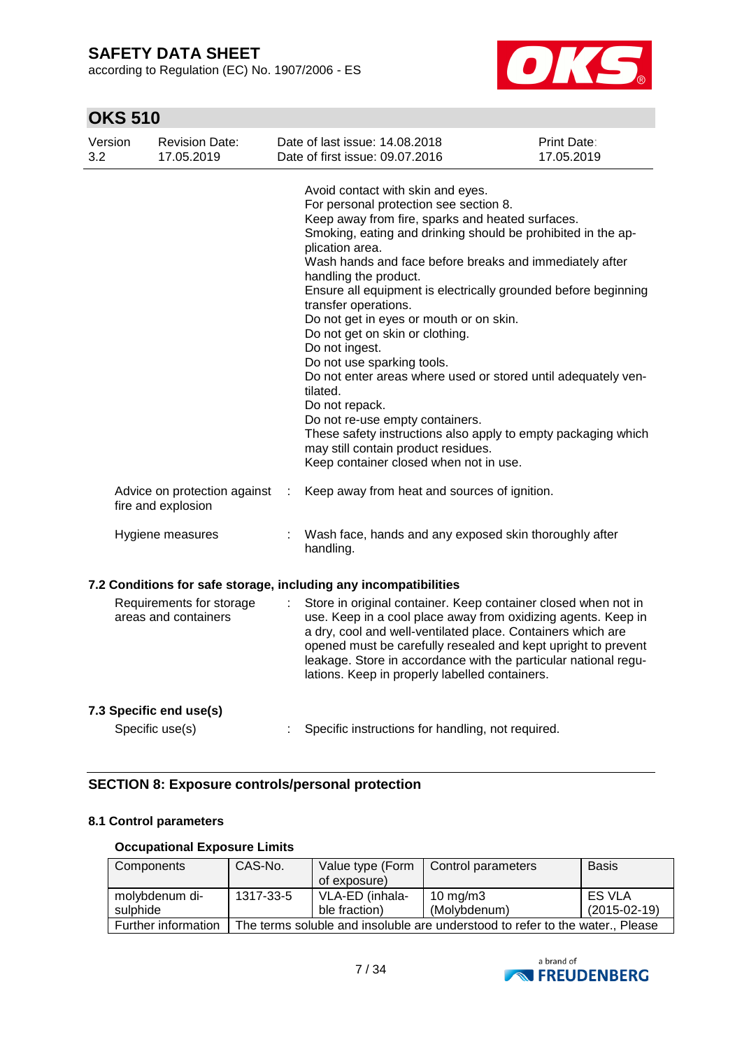according to Regulation (EC) No. 1907/2006 - ES



# **OKS 510**

| Version<br>3.2 | <b>Revision Date:</b><br>17.05.2019                |   | Date of last issue: 14.08.2018<br>Date of first issue: 09.07.2016                                                                                                                                                                                                                                                                                                                                                                                                                                                                                                                                                                                                                                                                                                                                                  | Print Date:<br>17.05.2019 |
|----------------|----------------------------------------------------|---|--------------------------------------------------------------------------------------------------------------------------------------------------------------------------------------------------------------------------------------------------------------------------------------------------------------------------------------------------------------------------------------------------------------------------------------------------------------------------------------------------------------------------------------------------------------------------------------------------------------------------------------------------------------------------------------------------------------------------------------------------------------------------------------------------------------------|---------------------------|
|                |                                                    |   | Avoid contact with skin and eyes.<br>For personal protection see section 8.<br>Keep away from fire, sparks and heated surfaces.<br>Smoking, eating and drinking should be prohibited in the ap-<br>plication area.<br>Wash hands and face before breaks and immediately after<br>handling the product.<br>Ensure all equipment is electrically grounded before beginning<br>transfer operations.<br>Do not get in eyes or mouth or on skin.<br>Do not get on skin or clothing.<br>Do not ingest.<br>Do not use sparking tools.<br>Do not enter areas where used or stored until adequately ven-<br>tilated.<br>Do not repack.<br>Do not re-use empty containers.<br>These safety instructions also apply to empty packaging which<br>may still contain product residues.<br>Keep container closed when not in use. |                           |
|                | Advice on protection against<br>fire and explosion | ÷ | Keep away from heat and sources of ignition.                                                                                                                                                                                                                                                                                                                                                                                                                                                                                                                                                                                                                                                                                                                                                                       |                           |
|                | Hygiene measures                                   |   | Wash face, hands and any exposed skin thoroughly after<br>handling.                                                                                                                                                                                                                                                                                                                                                                                                                                                                                                                                                                                                                                                                                                                                                |                           |
|                |                                                    |   | 7.2 Conditions for safe storage, including any incompatibilities                                                                                                                                                                                                                                                                                                                                                                                                                                                                                                                                                                                                                                                                                                                                                   |                           |
|                | Requirements for storage<br>areas and containers   |   | Store in original container. Keep container closed when not in<br>use. Keep in a cool place away from oxidizing agents. Keep in<br>a dry, cool and well-ventilated place. Containers which are<br>opened must be carefully resealed and kept upright to prevent<br>leakage. Store in accordance with the particular national regu-<br>lations. Keep in properly labelled containers.                                                                                                                                                                                                                                                                                                                                                                                                                               |                           |
|                | 7.3 Specific end use(s)                            |   |                                                                                                                                                                                                                                                                                                                                                                                                                                                                                                                                                                                                                                                                                                                                                                                                                    |                           |
|                | Specific use(s)                                    |   | Specific instructions for handling, not required.                                                                                                                                                                                                                                                                                                                                                                                                                                                                                                                                                                                                                                                                                                                                                                  |                           |

### **SECTION 8: Exposure controls/personal protection**

### **8.1 Control parameters**

### **Occupational Exposure Limits**

| Components          | CAS-No.   | Value type (Form<br>of exposure)                                              | Control parameters | <b>Basis</b>   |
|---------------------|-----------|-------------------------------------------------------------------------------|--------------------|----------------|
| molybdenum di-      | 1317-33-5 | VLA-ED (inhala-                                                               | 10 mg/m $3$        | <b>ES VLA</b>  |
| sulphide            |           | ble fraction)                                                                 | (Molybdenum)       | $(2015-02-19)$ |
| Further information |           | The terms soluble and insoluble are understood to refer to the water., Please |                    |                |

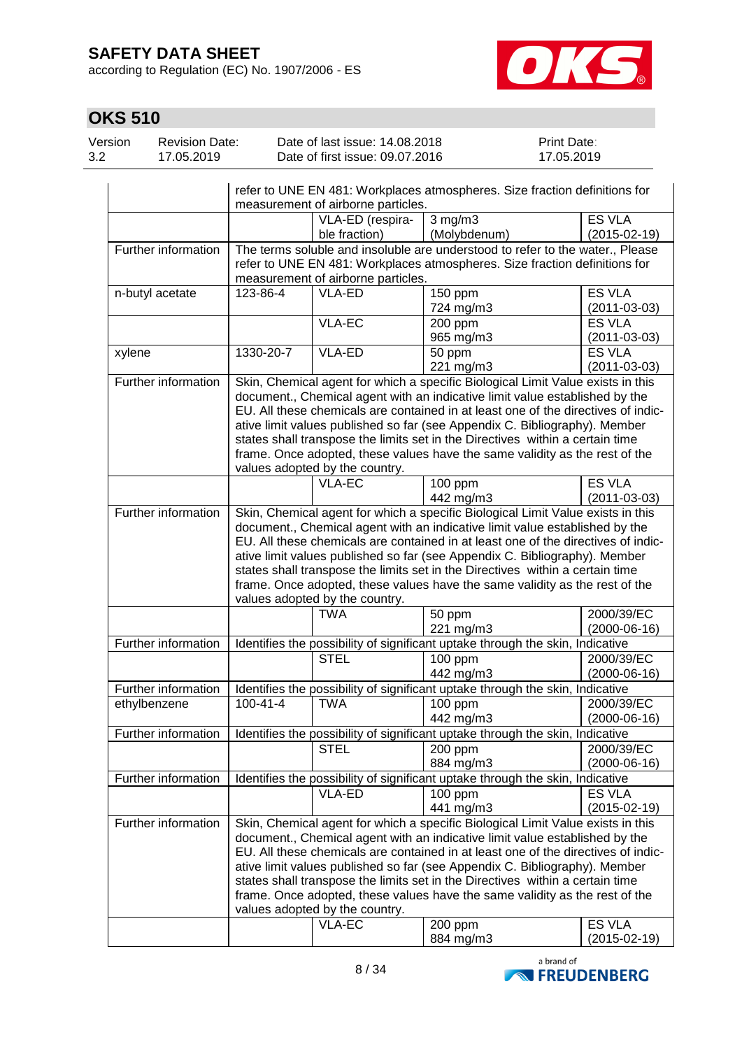according to Regulation (EC) No. 1907/2006 - ES



| Version | Revision Date: | Date of last issue: 14.08.2018  | <b>Print Date:</b> |
|---------|----------------|---------------------------------|--------------------|
| 3.2     | 17.05.2019     | Date of first issue: 09.07.2016 | 17.05.2019         |

|                     |                | refer to UNE EN 481: Workplaces atmospheres. Size fraction definitions for                                                                                                                        |                                                                                                                                                                                                                                                                                                                                                                                                                                                                                                   |                                     |  |  |
|---------------------|----------------|---------------------------------------------------------------------------------------------------------------------------------------------------------------------------------------------------|---------------------------------------------------------------------------------------------------------------------------------------------------------------------------------------------------------------------------------------------------------------------------------------------------------------------------------------------------------------------------------------------------------------------------------------------------------------------------------------------------|-------------------------------------|--|--|
|                     |                | measurement of airborne particles.                                                                                                                                                                |                                                                                                                                                                                                                                                                                                                                                                                                                                                                                                   |                                     |  |  |
|                     |                | VLA-ED (respira-                                                                                                                                                                                  | $3 \overline{\text{mg}}/\text{m}3$                                                                                                                                                                                                                                                                                                                                                                                                                                                                | <b>ES VLA</b>                       |  |  |
|                     |                | ble fraction)                                                                                                                                                                                     | (Molybdenum)                                                                                                                                                                                                                                                                                                                                                                                                                                                                                      | $(2015-02-19)$                      |  |  |
| Further information |                | The terms soluble and insoluble are understood to refer to the water., Please<br>refer to UNE EN 481: Workplaces atmospheres. Size fraction definitions for<br>measurement of airborne particles. |                                                                                                                                                                                                                                                                                                                                                                                                                                                                                                   |                                     |  |  |
| n-butyl acetate     | 123-86-4       | VLA-ED                                                                                                                                                                                            | $\overline{150}$ ppm                                                                                                                                                                                                                                                                                                                                                                                                                                                                              | <b>ES VLA</b>                       |  |  |
|                     |                |                                                                                                                                                                                                   | 724 mg/m3                                                                                                                                                                                                                                                                                                                                                                                                                                                                                         | $(2011 - 03 - 03)$                  |  |  |
|                     |                | <b>VLA-EC</b>                                                                                                                                                                                     | 200 ppm                                                                                                                                                                                                                                                                                                                                                                                                                                                                                           | <b>ES VLA</b>                       |  |  |
|                     |                |                                                                                                                                                                                                   | 965 mg/m3                                                                                                                                                                                                                                                                                                                                                                                                                                                                                         | $(2011 - 03 - 03)$                  |  |  |
| xylene              | 1330-20-7      | VLA-ED                                                                                                                                                                                            | 50 ppm                                                                                                                                                                                                                                                                                                                                                                                                                                                                                            | <b>ES VLA</b>                       |  |  |
| Further information |                |                                                                                                                                                                                                   | 221 mg/m3<br>Skin, Chemical agent for which a specific Biological Limit Value exists in this                                                                                                                                                                                                                                                                                                                                                                                                      | $(2011 - 03 - 03)$                  |  |  |
|                     |                | values adopted by the country.                                                                                                                                                                    | document., Chemical agent with an indicative limit value established by the<br>EU. All these chemicals are contained in at least one of the directives of indic-<br>ative limit values published so far (see Appendix C. Bibliography). Member<br>states shall transpose the limits set in the Directives within a certain time<br>frame. Once adopted, these values have the same validity as the rest of the                                                                                    |                                     |  |  |
|                     |                | <b>VLA-EC</b>                                                                                                                                                                                     | 100 ppm                                                                                                                                                                                                                                                                                                                                                                                                                                                                                           | <b>ES VLA</b>                       |  |  |
|                     |                |                                                                                                                                                                                                   | 442 mg/m3                                                                                                                                                                                                                                                                                                                                                                                                                                                                                         | $(2011 - 03 - 03)$                  |  |  |
|                     |                | values adopted by the country.                                                                                                                                                                    | document., Chemical agent with an indicative limit value established by the<br>EU. All these chemicals are contained in at least one of the directives of indic-<br>ative limit values published so far (see Appendix C. Bibliography). Member<br>states shall transpose the limits set in the Directives within a certain time<br>frame. Once adopted, these values have the same validity as the rest of the                                                                                    |                                     |  |  |
|                     |                | <b>TWA</b>                                                                                                                                                                                        | 50 ppm<br>221 mg/m3                                                                                                                                                                                                                                                                                                                                                                                                                                                                               | 2000/39/EC<br>$(2000-06-16)$        |  |  |
| Further information |                |                                                                                                                                                                                                   | Identifies the possibility of significant uptake through the skin, Indicative                                                                                                                                                                                                                                                                                                                                                                                                                     |                                     |  |  |
|                     |                | <b>STEL</b>                                                                                                                                                                                       | 100 ppm<br>442 mg/m3                                                                                                                                                                                                                                                                                                                                                                                                                                                                              | 2000/39/EC<br>$(2000-06-16)$        |  |  |
| Further information |                |                                                                                                                                                                                                   | Identifies the possibility of significant uptake through the skin, Indicative                                                                                                                                                                                                                                                                                                                                                                                                                     |                                     |  |  |
|                     | $100 - 41 - 4$ | <b>TWA</b>                                                                                                                                                                                        |                                                                                                                                                                                                                                                                                                                                                                                                                                                                                                   | 2000/39/EC                          |  |  |
| ethylbenzene        |                |                                                                                                                                                                                                   | 100 ppm<br>442 mg/m3                                                                                                                                                                                                                                                                                                                                                                                                                                                                              | $(2000-06-16)$                      |  |  |
| Further information |                |                                                                                                                                                                                                   | Identifies the possibility of significant uptake through the skin, Indicative                                                                                                                                                                                                                                                                                                                                                                                                                     |                                     |  |  |
|                     |                | <b>STEL</b>                                                                                                                                                                                       | 200 ppm                                                                                                                                                                                                                                                                                                                                                                                                                                                                                           | 2000/39/EC                          |  |  |
|                     |                |                                                                                                                                                                                                   | 884 mg/m3                                                                                                                                                                                                                                                                                                                                                                                                                                                                                         | $(2000-06-16)$                      |  |  |
| Further information |                |                                                                                                                                                                                                   | Identifies the possibility of significant uptake through the skin, Indicative                                                                                                                                                                                                                                                                                                                                                                                                                     |                                     |  |  |
|                     |                | <b>VLA-ED</b>                                                                                                                                                                                     | $100$ ppm                                                                                                                                                                                                                                                                                                                                                                                                                                                                                         | <b>ES VLA</b>                       |  |  |
|                     |                |                                                                                                                                                                                                   | 441 mg/m3                                                                                                                                                                                                                                                                                                                                                                                                                                                                                         | $(2015 - 02 - 19)$                  |  |  |
| Further information |                | values adopted by the country.                                                                                                                                                                    | Skin, Chemical agent for which a specific Biological Limit Value exists in this<br>document., Chemical agent with an indicative limit value established by the<br>EU. All these chemicals are contained in at least one of the directives of indic-<br>ative limit values published so far (see Appendix C. Bibliography). Member<br>states shall transpose the limits set in the Directives within a certain time<br>frame. Once adopted, these values have the same validity as the rest of the |                                     |  |  |
|                     |                | VLA-EC                                                                                                                                                                                            | 200 ppm<br>884 mg/m3                                                                                                                                                                                                                                                                                                                                                                                                                                                                              | <b>ES VLA</b><br>$(2015 - 02 - 19)$ |  |  |

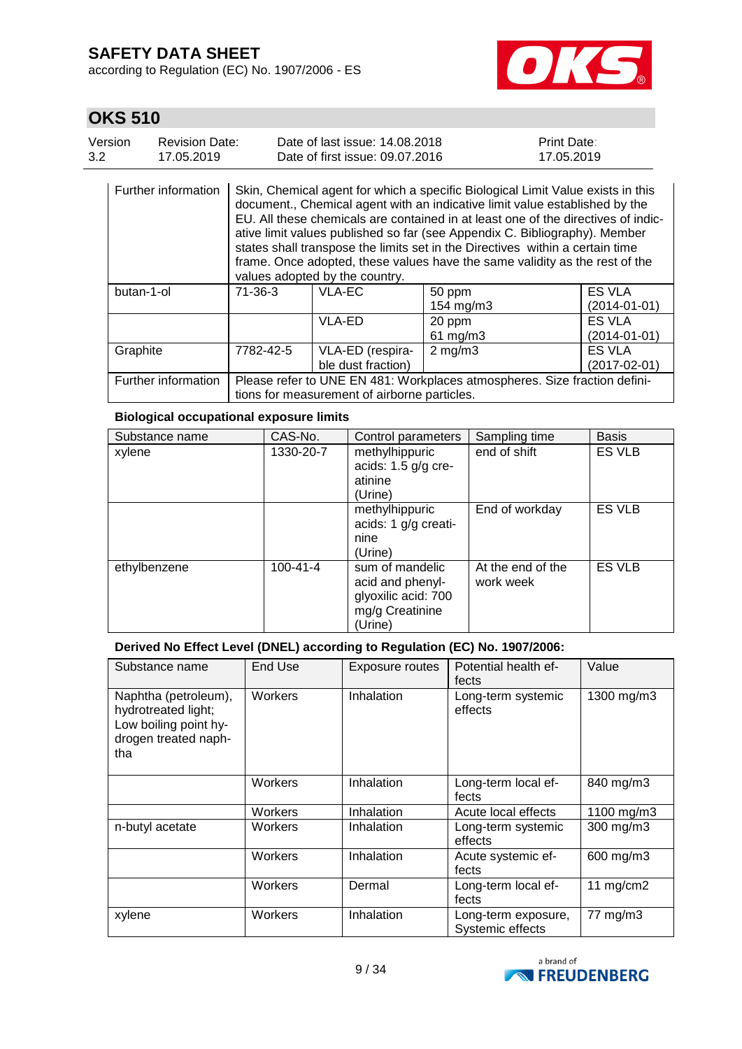according to Regulation (EC) No. 1907/2006 - ES



# **OKS 510**

| Version | Revision Date: | Date of last issue: 14.08.2018  | <b>Print Date:</b> |
|---------|----------------|---------------------------------|--------------------|
| 3.2     | 17.05.2019     | Date of first issue: 09.07.2016 | 17.05.2019         |

| Further information |               | values adopted by the country.               | Skin, Chemical agent for which a specific Biological Limit Value exists in this<br>document., Chemical agent with an indicative limit value established by the<br>EU. All these chemicals are contained in at least one of the directives of indic-<br>ative limit values published so far (see Appendix C. Bibliography). Member<br>states shall transpose the limits set in the Directives within a certain time<br>frame. Once adopted, these values have the same validity as the rest of the |                                     |
|---------------------|---------------|----------------------------------------------|---------------------------------------------------------------------------------------------------------------------------------------------------------------------------------------------------------------------------------------------------------------------------------------------------------------------------------------------------------------------------------------------------------------------------------------------------------------------------------------------------|-------------------------------------|
| butan-1-ol          | $71 - 36 - 3$ | VLA-EC                                       | 50 ppm<br>154 mg/m3                                                                                                                                                                                                                                                                                                                                                                                                                                                                               | <b>ES VLA</b><br>$(2014 - 01 - 01)$ |
|                     |               | VLA-ED                                       | 20 ppm<br>$61$ mg/m $3$                                                                                                                                                                                                                                                                                                                                                                                                                                                                           | <b>ES VLA</b><br>$(2014 - 01 - 01)$ |
| Graphite            | 7782-42-5     | VLA-ED (respira-<br>ble dust fraction)       | $2 \text{ mg/m}$                                                                                                                                                                                                                                                                                                                                                                                                                                                                                  | <b>ES VLA</b><br>$(2017 - 02 - 01)$ |
| Further information |               | tions for measurement of airborne particles. | Please refer to UNE EN 481: Workplaces atmospheres. Size fraction defini-                                                                                                                                                                                                                                                                                                                                                                                                                         |                                     |

### **Biological occupational exposure limits**

| Substance name | CAS-No.        | Control parameters                                                                       | Sampling time                  | <b>Basis</b>  |
|----------------|----------------|------------------------------------------------------------------------------------------|--------------------------------|---------------|
| xylene         | 1330-20-7      | methylhippuric<br>acids: $1.5$ g/g cre-<br>atinine<br>(Urine)                            | end of shift                   | ES VLB        |
|                |                | methylhippuric<br>acids: 1 g/g creati-<br>nine<br>(Urine)                                | End of workday                 | <b>ES VLB</b> |
| ethylbenzene   | $100 - 41 - 4$ | sum of mandelic<br>acid and phenyl-<br>glyoxilic acid: 700<br>mg/g Creatinine<br>(Urine) | At the end of the<br>work week | <b>ES VLB</b> |

### **Derived No Effect Level (DNEL) according to Regulation (EC) No. 1907/2006:**

| Substance name                                                                                      | End Use | Exposure routes | Potential health ef-<br>fects           | Value       |  |
|-----------------------------------------------------------------------------------------------------|---------|-----------------|-----------------------------------------|-------------|--|
| Naphtha (petroleum),<br>hydrotreated light;<br>Low boiling point hy-<br>drogen treated naph-<br>tha | Workers | Inhalation      | Long-term systemic<br>effects           | 1300 mg/m3  |  |
|                                                                                                     | Workers | Inhalation      | Long-term local ef-<br>fects            | 840 mg/m3   |  |
|                                                                                                     | Workers | Inhalation      | Acute local effects                     | 1100 mg/m3  |  |
| n-butyl acetate                                                                                     | Workers | Inhalation      | Long-term systemic<br>effects           | 300 mg/m3   |  |
|                                                                                                     | Workers | Inhalation      | Acute systemic ef-<br>fects             | 600 mg/m3   |  |
|                                                                                                     | Workers | Dermal          | Long-term local ef-<br>fects            | 11 $mg/cm2$ |  |
| xylene                                                                                              | Workers | Inhalation      | Long-term exposure,<br>Systemic effects | 77 mg/m3    |  |

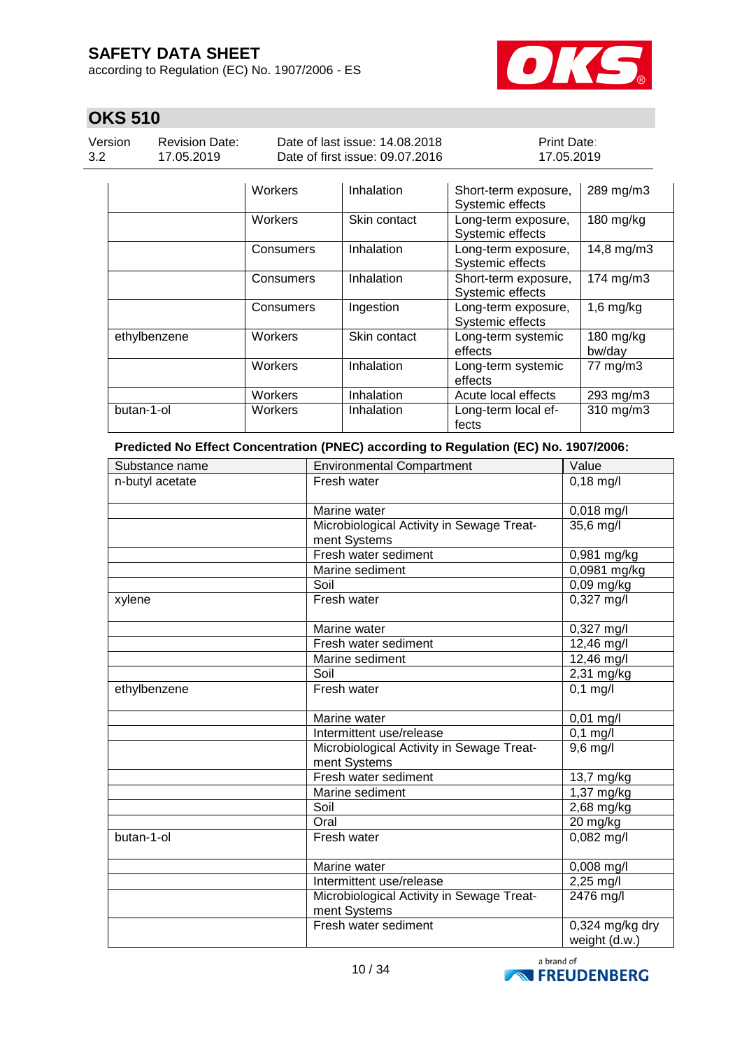according to Regulation (EC) No. 1907/2006 - ES



# **OKS 510**

Version 3.2

Revision Date: 17.05.2019

Date of last issue: 14.08.2018 Date of first issue: 09.07.2016 Print Date: 17.05.2019

|              | Workers   | Inhalation   | Short-term exposure,<br>Systemic effects | 289 mg/m3           |
|--------------|-----------|--------------|------------------------------------------|---------------------|
|              | Workers   | Skin contact | Long-term exposure,<br>Systemic effects  | 180 mg/kg           |
|              | Consumers | Inhalation   | Long-term exposure,<br>Systemic effects  | 14,8 mg/m3          |
|              | Consumers | Inhalation   | Short-term exposure,<br>Systemic effects | 174 mg/m3           |
|              | Consumers | Ingestion    | Long-term exposure,<br>Systemic effects  | $1,6$ mg/kg         |
| ethylbenzene | Workers   | Skin contact | Long-term systemic<br>effects            | 180 mg/kg<br>bw/day |
|              | Workers   | Inhalation   | Long-term systemic<br>effects            | 77 mg/m3            |
|              | Workers   | Inhalation   | Acute local effects                      | 293 mg/m3           |
| butan-1-ol   | Workers   | Inhalation   | Long-term local ef-<br>fects             | 310 mg/m3           |

**Predicted No Effect Concentration (PNEC) according to Regulation (EC) No. 1907/2006:**

| Substance name  | <b>Environmental Compartment</b>                          | Value                        |
|-----------------|-----------------------------------------------------------|------------------------------|
| n-butyl acetate | Fresh water                                               | $0,18$ mg/l                  |
|                 | Marine water                                              | 0,018 mg/l                   |
|                 | Microbiological Activity in Sewage Treat-<br>ment Systems | 35,6 mg/l                    |
|                 | Fresh water sediment                                      | 0,981 mg/kg                  |
|                 | Marine sediment                                           | 0,0981 mg/kg                 |
|                 | Soil                                                      | 0,09 mg/kg                   |
| xylene          | Fresh water                                               | $0,327$ mg/l                 |
|                 | Marine water                                              | 0,327 mg/l                   |
|                 | Fresh water sediment                                      | 12,46 mg/l                   |
|                 | Marine sediment                                           | 12,46 mg/l                   |
|                 | Soil                                                      | 2,31 mg/kg                   |
| ethylbenzene    | Fresh water                                               | $0,1$ mg/l                   |
|                 | Marine water                                              | $0,01$ mg/l                  |
|                 | Intermittent use/release                                  | $0,1$ mg/l                   |
|                 | Microbiological Activity in Sewage Treat-<br>ment Systems | $9,6$ mg/l                   |
|                 | Fresh water sediment                                      | 13,7 mg/kg                   |
|                 | Marine sediment                                           | 1,37 mg/kg                   |
|                 | Soil                                                      | 2,68 mg/kg                   |
|                 | Oral                                                      | 20 mg/kg                     |
| butan-1-ol      | Fresh water                                               | 0,082 mg/l                   |
|                 | Marine water                                              | 0,008 mg/l                   |
|                 | Intermittent use/release                                  | $2,25 \, \text{mg}/\text{l}$ |
|                 | Microbiological Activity in Sewage Treat-<br>ment Systems | 2476 mg/l                    |
|                 | Fresh water sediment                                      | $0,324$ mg/kg dry            |
|                 |                                                           | weight (d.w.)                |

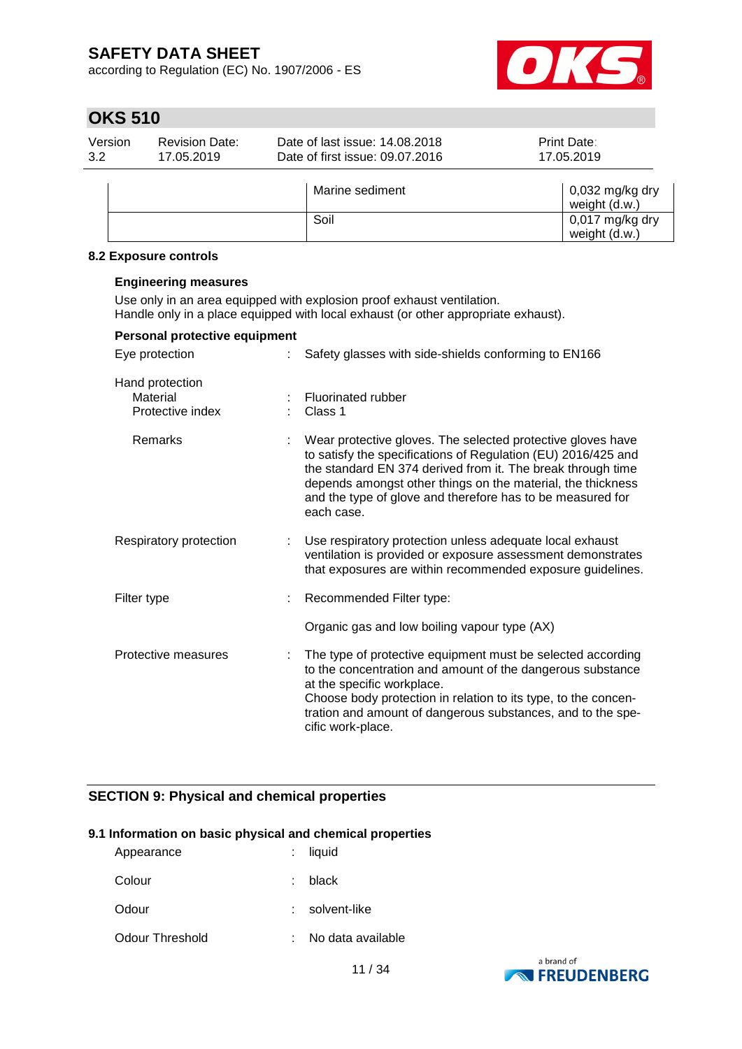according to Regulation (EC) No. 1907/2006 - ES



# **OKS 510**

| Version<br>3.2 | <b>Revision Date:</b><br>17.05.2019 | Date of last issue: 14,08,2018<br>Date of first issue: 09.07.2016 | Print Date:<br>17.05.2019                |
|----------------|-------------------------------------|-------------------------------------------------------------------|------------------------------------------|
|                |                                     | Marine sediment                                                   | $\vert$ 0,032 mg/kg dry<br>weight (d.w.) |
|                |                                     | Soil                                                              | 0,017 mg/kg dry<br>weight (d.w.)         |

#### **8.2 Exposure controls**

#### **Engineering measures**

Use only in an area equipped with explosion proof exhaust ventilation. Handle only in a place equipped with local exhaust (or other appropriate exhaust).

| Personal protective equipment                   |    |                                                                                                                                                                                                                                                                                                                                        |
|-------------------------------------------------|----|----------------------------------------------------------------------------------------------------------------------------------------------------------------------------------------------------------------------------------------------------------------------------------------------------------------------------------------|
| Eye protection                                  |    | Safety glasses with side-shields conforming to EN166                                                                                                                                                                                                                                                                                   |
| Hand protection<br>Material<br>Protective index |    | Fluorinated rubber<br>Class 1                                                                                                                                                                                                                                                                                                          |
| Remarks                                         |    | Wear protective gloves. The selected protective gloves have<br>to satisfy the specifications of Regulation (EU) 2016/425 and<br>the standard EN 374 derived from it. The break through time<br>depends amongst other things on the material, the thickness<br>and the type of glove and therefore has to be measured for<br>each case. |
| Respiratory protection                          | ÷. | Use respiratory protection unless adequate local exhaust<br>ventilation is provided or exposure assessment demonstrates<br>that exposures are within recommended exposure guidelines.                                                                                                                                                  |
| Filter type                                     |    | Recommended Filter type:                                                                                                                                                                                                                                                                                                               |
|                                                 |    | Organic gas and low boiling vapour type (AX)                                                                                                                                                                                                                                                                                           |
| Protective measures                             |    | The type of protective equipment must be selected according<br>to the concentration and amount of the dangerous substance<br>at the specific workplace.<br>Choose body protection in relation to its type, to the concen-<br>tration and amount of dangerous substances, and to the spe-<br>cific work-place.                          |

### **SECTION 9: Physical and chemical properties**

#### **9.1 Information on basic physical and chemical properties**

| Appearance      |    | $:$ liquid          |
|-----------------|----|---------------------|
| Colour          | t. | black               |
| Odour           |    | solvent-like        |
| Odour Threshold |    | : No data available |
|                 |    |                     |

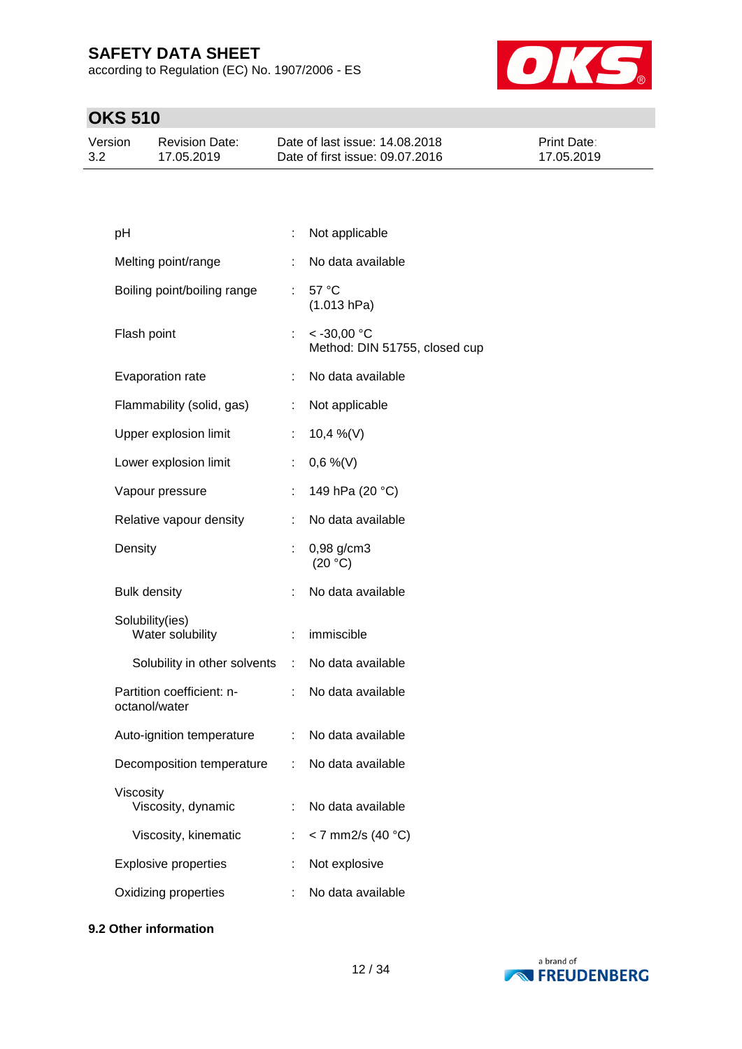according to Regulation (EC) No. 1907/2006 - ES



# **OKS 510**

| Version | Revision Date: | Date of last issue: 14.08.2018  | <b>Print Date:</b> |
|---------|----------------|---------------------------------|--------------------|
| 3.2     | 17.05.2019     | Date of first issue: 09.07.2016 | 17.05.2019         |

| pH                                         |                           | Not applicable                                 |
|--------------------------------------------|---------------------------|------------------------------------------------|
| Melting point/range                        | ÷                         | No data available                              |
| Boiling point/boiling range                | t.                        | 57 °C<br>(1.013 hPa)                           |
| Flash point                                | t.                        | $< -30,00$ °C<br>Method: DIN 51755, closed cup |
| Evaporation rate                           | ÷.                        | No data available                              |
| Flammability (solid, gas)                  | t.                        | Not applicable                                 |
| Upper explosion limit                      | t.                        | 10,4 %(V)                                      |
| Lower explosion limit                      |                           | $0,6\%$ (V)                                    |
| Vapour pressure                            |                           | 149 hPa (20 °C)                                |
| Relative vapour density                    |                           | No data available                              |
| Density                                    |                           | 0,98 g/cm3<br>(20 °C)                          |
| <b>Bulk density</b>                        |                           | No data available                              |
| Solubility(ies)<br>Water solubility        |                           | immiscible                                     |
| Solubility in other solvents               |                           | : No data available                            |
| Partition coefficient: n-<br>octanol/water |                           | No data available                              |
| Auto-ignition temperature                  | $\mathbb{Z}^{\mathbb{Z}}$ | No data available                              |
| Decomposition temperature                  | ÷.                        | No data available                              |
| Viscosity<br>Viscosity, dynamic            |                           | No data available                              |
| Viscosity, kinematic                       |                           | < 7 mm2/s (40 °C)                              |
| <b>Explosive properties</b>                |                           | Not explosive                                  |
| Oxidizing properties                       |                           | No data available                              |
|                                            |                           |                                                |

### **9.2 Other information**

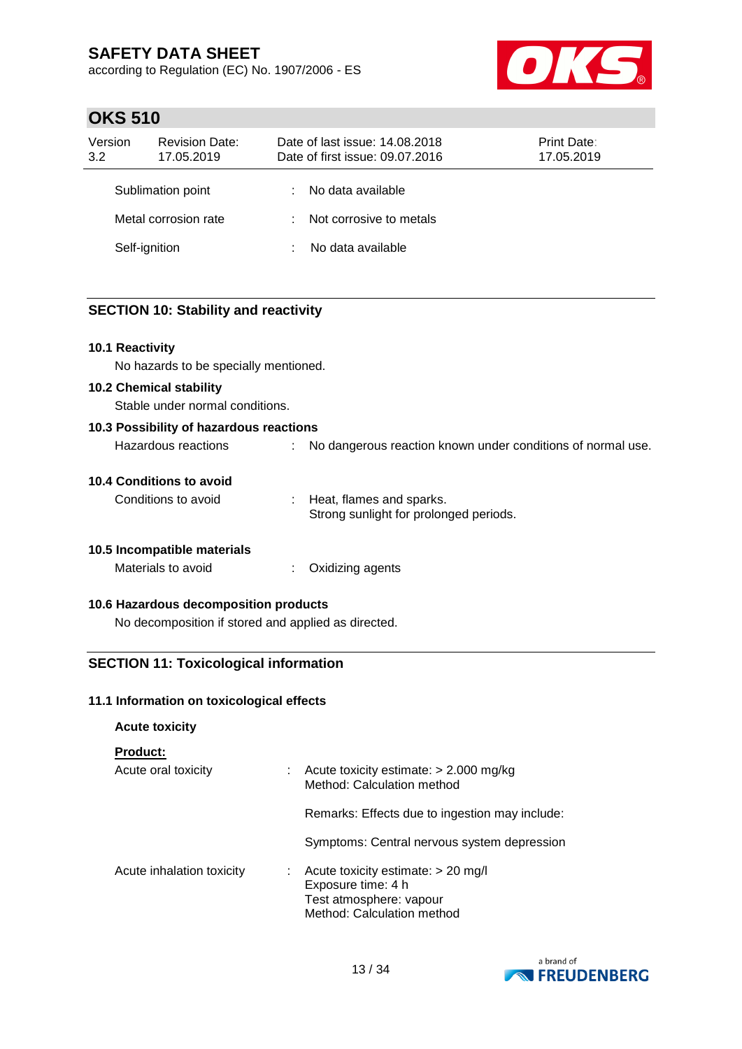according to Regulation (EC) No. 1907/2006 - ES



## **OKS 510**

| Version<br>3.2 | <b>Revision Date:</b><br>17.05.2019 |   | Date of last issue: 14,08,2018<br>Date of first issue: 09.07.2016 |  | Print Date:<br>17.05.2019 |  |
|----------------|-------------------------------------|---|-------------------------------------------------------------------|--|---------------------------|--|
|                | Sublimation point                   | ÷ | No data available                                                 |  |                           |  |
|                | Metal corrosion rate                |   | : Not corrosive to metals                                         |  |                           |  |
| Self-ignition  |                                     |   | No data available                                                 |  |                           |  |

### **SECTION 10: Stability and reactivity**

### **10.1 Reactivity**

No hazards to be specially mentioned.

#### **10.2 Chemical stability**

Stable under normal conditions.

| 10.3 Possibility of hazardous reactions |                                                             |
|-----------------------------------------|-------------------------------------------------------------|
| Hazardous reactions                     | No dangerous reaction known under conditions of normal use. |

#### **10.4 Conditions to avoid**

| Conditions to avoid | : Heat, flames and sparks.             |
|---------------------|----------------------------------------|
|                     | Strong sunlight for prolonged periods. |

### **10.5 Incompatible materials**

Materials to avoid : Oxidizing agents

### **10.6 Hazardous decomposition products**

No decomposition if stored and applied as directed.

### **SECTION 11: Toxicological information**

### **11.1 Information on toxicological effects**

| <b>Acute toxicity</b>                  |                                                                                                                   |
|----------------------------------------|-------------------------------------------------------------------------------------------------------------------|
| <b>Product:</b><br>Acute oral toxicity | $\therefore$ Acute toxicity estimate: $>$ 2.000 mg/kg<br>Method: Calculation method                               |
|                                        | Remarks: Effects due to ingestion may include:                                                                    |
|                                        | Symptoms: Central nervous system depression                                                                       |
| Acute inhalation toxicity<br>÷.        | Acute toxicity estimate: > 20 mg/l<br>Exposure time: 4 h<br>Test atmosphere: vapour<br>Method: Calculation method |

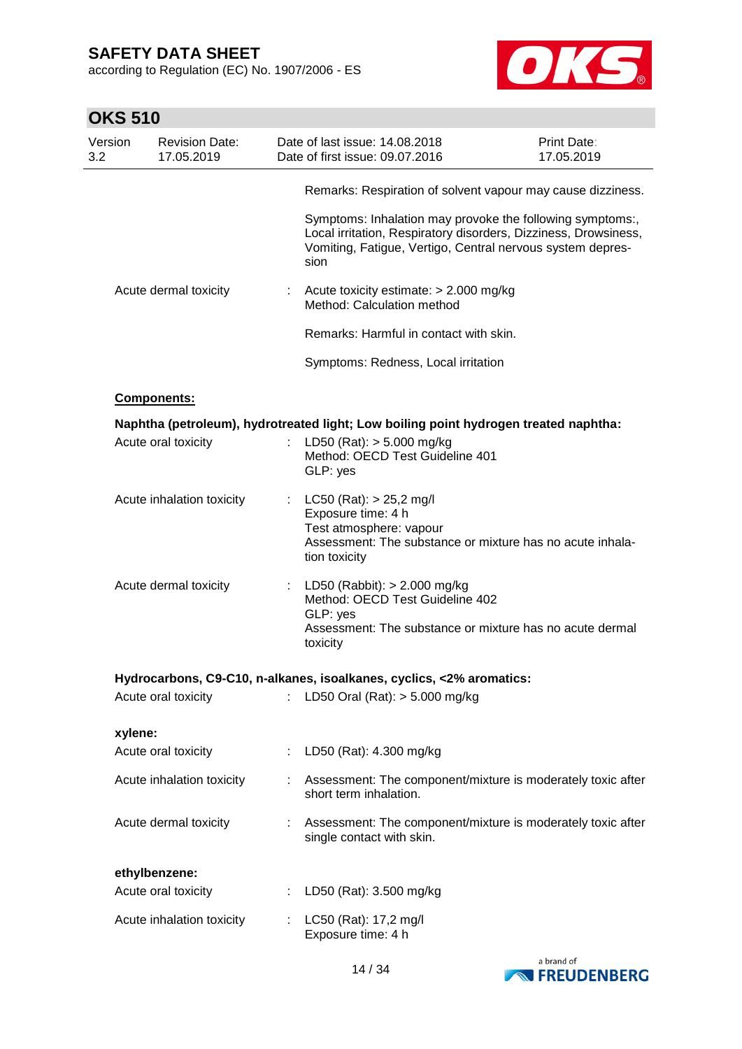according to Regulation (EC) No. 1907/2006 - ES



| <b>OKS 510</b> |                                     |                |                                                                                                                                                                                                    |                                  |
|----------------|-------------------------------------|----------------|----------------------------------------------------------------------------------------------------------------------------------------------------------------------------------------------------|----------------------------------|
| Version<br>3.2 | <b>Revision Date:</b><br>17.05.2019 |                | Date of last issue: 14.08.2018<br>Date of first issue: 09.07.2016                                                                                                                                  | <b>Print Date:</b><br>17.05.2019 |
|                |                                     |                | Remarks: Respiration of solvent vapour may cause dizziness.                                                                                                                                        |                                  |
|                |                                     |                | Symptoms: Inhalation may provoke the following symptoms:,<br>Local irritation, Respiratory disorders, Dizziness, Drowsiness,<br>Vomiting, Fatigue, Vertigo, Central nervous system depres-<br>sion |                                  |
|                | Acute dermal toxicity               | $\mathbb{Z}^n$ | Acute toxicity estimate: > 2.000 mg/kg<br>Method: Calculation method                                                                                                                               |                                  |
|                |                                     |                | Remarks: Harmful in contact with skin.                                                                                                                                                             |                                  |
|                |                                     |                | Symptoms: Redness, Local irritation                                                                                                                                                                |                                  |
|                | Components:                         |                |                                                                                                                                                                                                    |                                  |
|                |                                     |                | Naphtha (petroleum), hydrotreated light; Low boiling point hydrogen treated naphtha:                                                                                                               |                                  |
|                | Acute oral toxicity                 |                | LD50 (Rat): $> 5.000$ mg/kg<br>Method: OECD Test Guideline 401<br>GLP: yes                                                                                                                         |                                  |
|                | Acute inhalation toxicity           | $\mathbb{Z}^n$ | $LC50$ (Rat): $> 25,2$ mg/l<br>Exposure time: 4 h<br>Test atmosphere: vapour<br>Assessment: The substance or mixture has no acute inhala-<br>tion toxicity                                         |                                  |
|                | Acute dermal toxicity               |                | : LD50 (Rabbit): $> 2.000$ mg/kg<br>Method: OECD Test Guideline 402<br>GLP: yes<br>Assessment: The substance or mixture has no acute dermal<br>toxicity                                            |                                  |
|                |                                     |                | Hydrocarbons, C9-C10, n-alkanes, isoalkanes, cyclics, <2% aromatics:                                                                                                                               |                                  |
|                | Acute oral toxicity                 |                | LD50 Oral (Rat): > 5.000 mg/kg                                                                                                                                                                     |                                  |
| xylene:        |                                     |                |                                                                                                                                                                                                    |                                  |
|                | Acute oral toxicity                 |                | LD50 (Rat): 4.300 mg/kg                                                                                                                                                                            |                                  |
|                | Acute inhalation toxicity           | t.             | Assessment: The component/mixture is moderately toxic after<br>short term inhalation.                                                                                                              |                                  |
|                | Acute dermal toxicity               | ÷              | Assessment: The component/mixture is moderately toxic after<br>single contact with skin.                                                                                                           |                                  |
|                | ethylbenzene:                       |                |                                                                                                                                                                                                    |                                  |
|                | Acute oral toxicity                 |                | LD50 (Rat): 3.500 mg/kg                                                                                                                                                                            |                                  |
|                | Acute inhalation toxicity           | t.             | LC50 (Rat): 17,2 mg/l<br>Exposure time: 4 h                                                                                                                                                        |                                  |

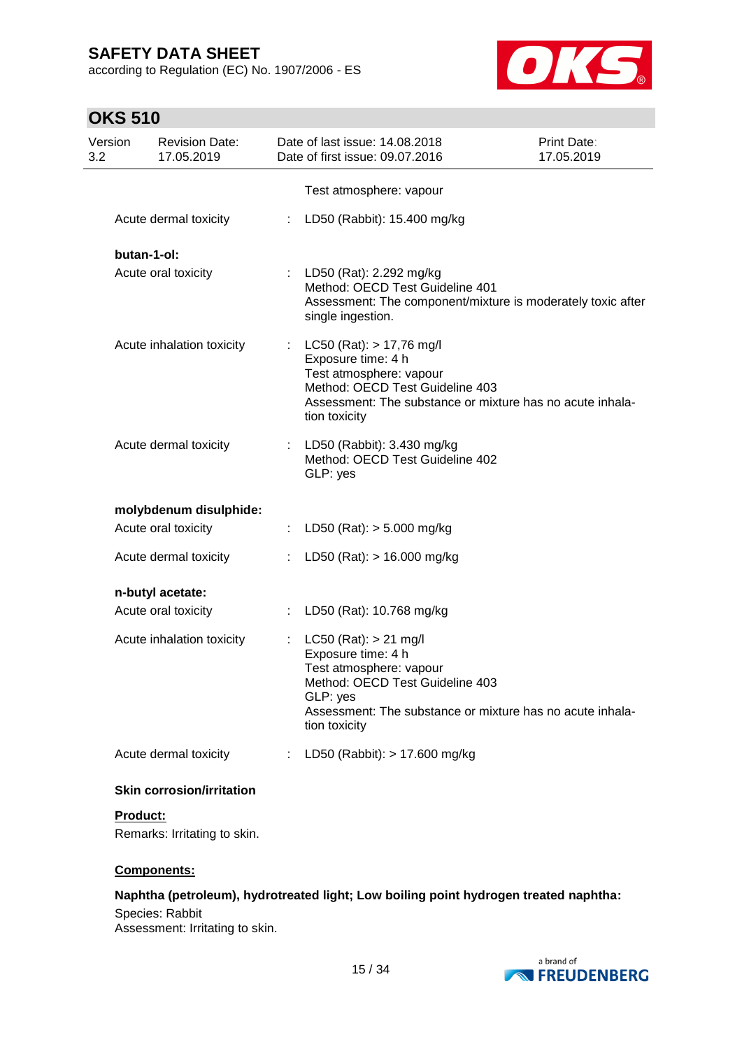according to Regulation (EC) No. 1907/2006 - ES



# **OKS 510**

| Version<br>3.2 | <b>Revision Date:</b><br>17.05.2019             | Date of last issue: 14.08.2018<br>Date of first issue: 09.07.2016                                                                                                                                       | Print Date:<br>17.05.2019 |
|----------------|-------------------------------------------------|---------------------------------------------------------------------------------------------------------------------------------------------------------------------------------------------------------|---------------------------|
|                |                                                 | Test atmosphere: vapour                                                                                                                                                                                 |                           |
|                | Acute dermal toxicity                           | : LD50 (Rabbit): 15.400 mg/kg                                                                                                                                                                           |                           |
|                | butan-1-ol:                                     |                                                                                                                                                                                                         |                           |
|                | Acute oral toxicity                             | : LD50 (Rat): 2.292 mg/kg<br>Method: OECD Test Guideline 401<br>Assessment: The component/mixture is moderately toxic after<br>single ingestion.                                                        |                           |
|                | Acute inhalation toxicity                       | $LC50$ (Rat): $> 17,76$ mg/l<br>Exposure time: 4 h<br>Test atmosphere: vapour<br>Method: OECD Test Guideline 403<br>Assessment: The substance or mixture has no acute inhala-<br>tion toxicity          |                           |
|                | Acute dermal toxicity                           | : LD50 (Rabbit): $3.430$ mg/kg<br>Method: OECD Test Guideline 402<br>GLP: yes                                                                                                                           |                           |
|                | molybdenum disulphide:                          |                                                                                                                                                                                                         |                           |
|                | Acute oral toxicity                             | : LD50 (Rat): $>$ 5.000 mg/kg                                                                                                                                                                           |                           |
|                | Acute dermal toxicity                           | : LD50 (Rat): $> 16.000$ mg/kg                                                                                                                                                                          |                           |
|                | n-butyl acetate:                                |                                                                                                                                                                                                         |                           |
|                | Acute oral toxicity                             | : LD50 (Rat): 10.768 mg/kg                                                                                                                                                                              |                           |
|                | Acute inhalation toxicity                       | $LC50$ (Rat): $> 21$ mg/l<br>Exposure time: 4 h<br>Test atmosphere: vapour<br>Method: OECD Test Guideline 403<br>GLP: yes<br>Assessment: The substance or mixture has no acute inhala-<br>tion toxicity |                           |
|                | Acute dermal toxicity                           | LD50 (Rabbit): > 17.600 mg/kg                                                                                                                                                                           |                           |
|                | <b>Skin corrosion/irritation</b>                |                                                                                                                                                                                                         |                           |
|                | <b>Product:</b><br>Remarks: Irritating to skin. |                                                                                                                                                                                                         |                           |

### **Components:**

### **Naphtha (petroleum), hydrotreated light; Low boiling point hydrogen treated naphtha:**

Species: Rabbit Assessment: Irritating to skin.

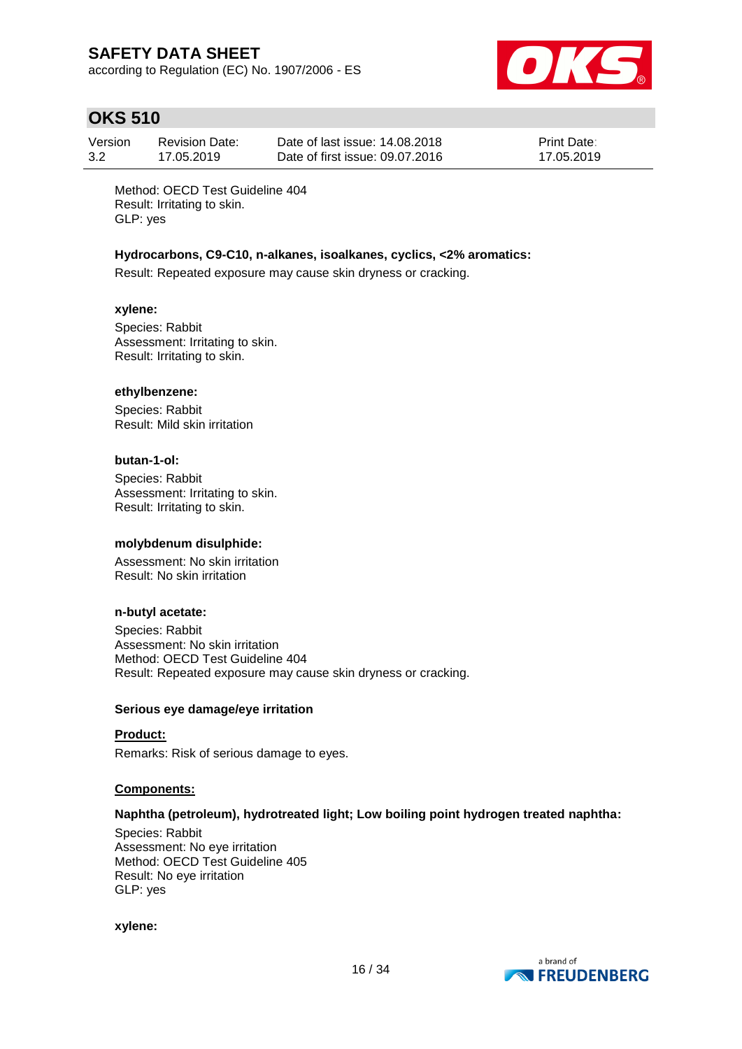according to Regulation (EC) No. 1907/2006 - ES



# **OKS 510**

| Version | <b>Revision Date:</b> | Date of last issue: 14,08,2018  | <b>Print Date:</b> |
|---------|-----------------------|---------------------------------|--------------------|
| 3.2     | 17.05.2019            | Date of first issue: 09.07.2016 | 17.05.2019         |

Method: OECD Test Guideline 404 Result: Irritating to skin. GLP: yes

#### **Hydrocarbons, C9-C10, n-alkanes, isoalkanes, cyclics, <2% aromatics:**

Result: Repeated exposure may cause skin dryness or cracking.

#### **xylene:**

Species: Rabbit Assessment: Irritating to skin. Result: Irritating to skin.

#### **ethylbenzene:**

Species: Rabbit Result: Mild skin irritation

#### **butan-1-ol:**

Species: Rabbit Assessment: Irritating to skin. Result: Irritating to skin.

### **molybdenum disulphide:**

Assessment: No skin irritation Result: No skin irritation

### **n-butyl acetate:**

Species: Rabbit Assessment: No skin irritation Method: OECD Test Guideline 404 Result: Repeated exposure may cause skin dryness or cracking.

#### **Serious eye damage/eye irritation**

#### **Product:**

Remarks: Risk of serious damage to eyes.

#### **Components:**

### **Naphtha (petroleum), hydrotreated light; Low boiling point hydrogen treated naphtha:**

Species: Rabbit Assessment: No eye irritation Method: OECD Test Guideline 405 Result: No eye irritation GLP: yes

#### **xylene:**

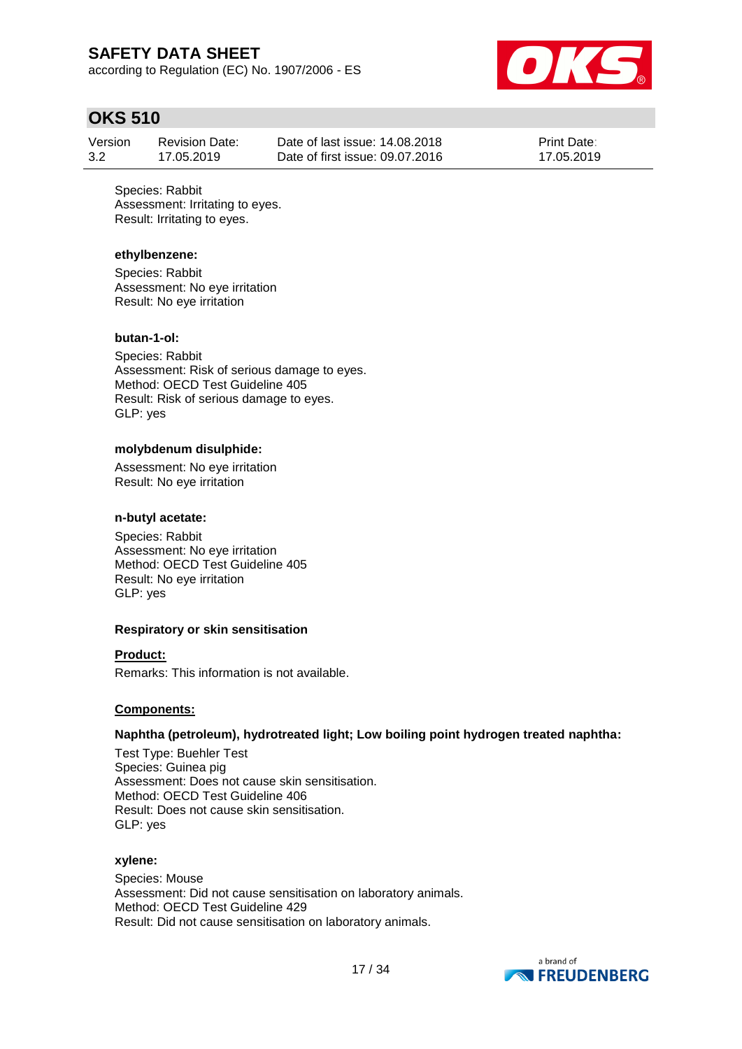according to Regulation (EC) No. 1907/2006 - ES



## **OKS 510**

| Version | <b>Revision Date:</b> | Date of last issue: 14.08.2018  | <b>Print Date:</b> |
|---------|-----------------------|---------------------------------|--------------------|
| 3.2     | 17.05.2019            | Date of first issue: 09.07.2016 | 17.05.2019         |

Species: Rabbit Assessment: Irritating to eyes. Result: Irritating to eyes.

### **ethylbenzene:**

Species: Rabbit Assessment: No eye irritation Result: No eye irritation

#### **butan-1-ol:**

Species: Rabbit Assessment: Risk of serious damage to eyes. Method: OECD Test Guideline 405 Result: Risk of serious damage to eyes. GLP: yes

#### **molybdenum disulphide:**

Assessment: No eye irritation Result: No eye irritation

#### **n-butyl acetate:**

Species: Rabbit Assessment: No eye irritation Method: OECD Test Guideline 405 Result: No eye irritation GLP: yes

#### **Respiratory or skin sensitisation**

### **Product:**

Remarks: This information is not available.

#### **Components:**

#### **Naphtha (petroleum), hydrotreated light; Low boiling point hydrogen treated naphtha:**

Test Type: Buehler Test Species: Guinea pig Assessment: Does not cause skin sensitisation. Method: OECD Test Guideline 406 Result: Does not cause skin sensitisation. GLP: yes

#### **xylene:**

Species: Mouse Assessment: Did not cause sensitisation on laboratory animals. Method: OECD Test Guideline 429 Result: Did not cause sensitisation on laboratory animals.

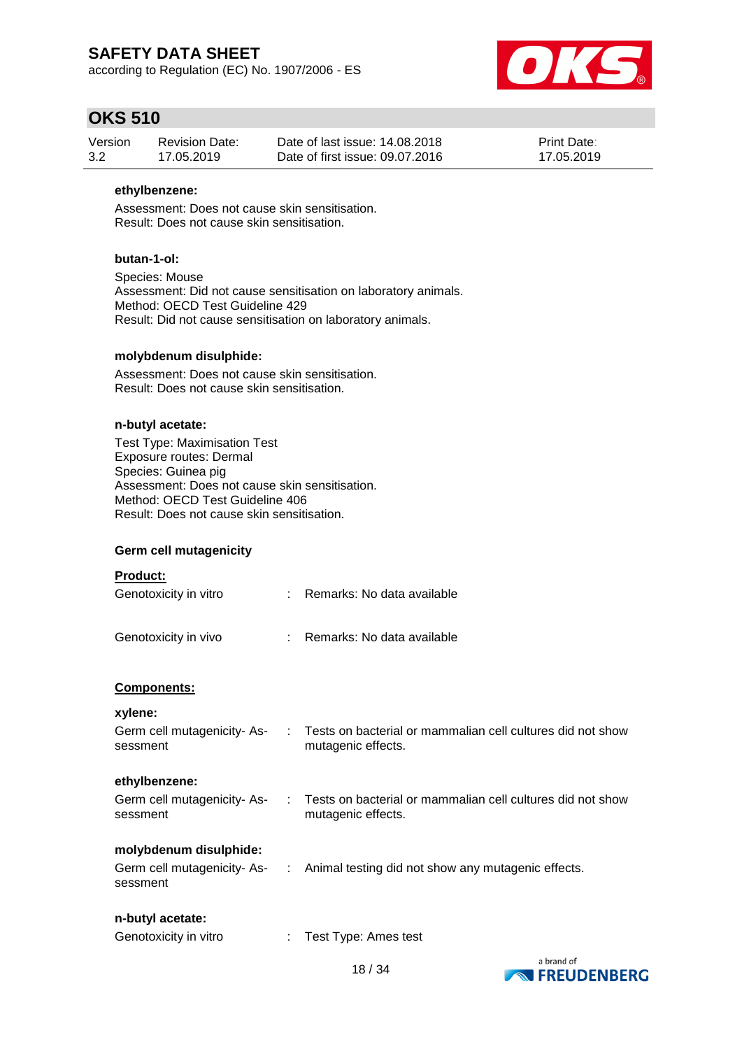according to Regulation (EC) No. 1907/2006 - ES



## **OKS 510**

| Version | <b>Revision Date:</b> | Date of last issue: 14.08.2018  | <b>Print Date:</b> |
|---------|-----------------------|---------------------------------|--------------------|
| 3.2     | 17.05.2019            | Date of first issue: 09.07.2016 | 17.05.2019         |

### **ethylbenzene:**

Assessment: Does not cause skin sensitisation. Result: Does not cause skin sensitisation.

### **butan-1-ol:**

Species: Mouse Assessment: Did not cause sensitisation on laboratory animals. Method: OECD Test Guideline 429 Result: Did not cause sensitisation on laboratory animals.

### **molybdenum disulphide:**

Assessment: Does not cause skin sensitisation. Result: Does not cause skin sensitisation.

### **n-butyl acetate:**

Test Type: Maximisation Test Exposure routes: Dermal Species: Guinea pig Assessment: Does not cause skin sensitisation. Method: OECD Test Guideline 406 Result: Does not cause skin sensitisation.

### **Germ cell mutagenicity**

|  | <b>Product:</b> |  |  |
|--|-----------------|--|--|
|  |                 |  |  |

| Genotoxicity in vitro | : Remarks: No data available |
|-----------------------|------------------------------|
|                       |                              |

Genotoxicity in vivo : Remarks: No data available

### **Components:**

**xylene:**

| ,                          |                                                            |
|----------------------------|------------------------------------------------------------|
| Germ cell mutagenicity-As- | Tests on bacterial or mammalian cell cultures did not show |
| sessment                   | mutagenic effects.                                         |
|                            |                                                            |

### **ethylbenzene:**

| Germ cell mutagenicity- As- | Tests on bacterial or mammalian cell cultures did not show |
|-----------------------------|------------------------------------------------------------|
| sessment                    | mutagenic effects.                                         |

### **molybdenum disulphide:**

| Germ cell mutagenicity- As- | Animal testing did not show any mutagenic effects. |  |
|-----------------------------|----------------------------------------------------|--|
| sessment                    |                                                    |  |

### **n-butyl acetate:**

| Genotoxicity in vitro | Test Type: Ames test |
|-----------------------|----------------------|
|-----------------------|----------------------|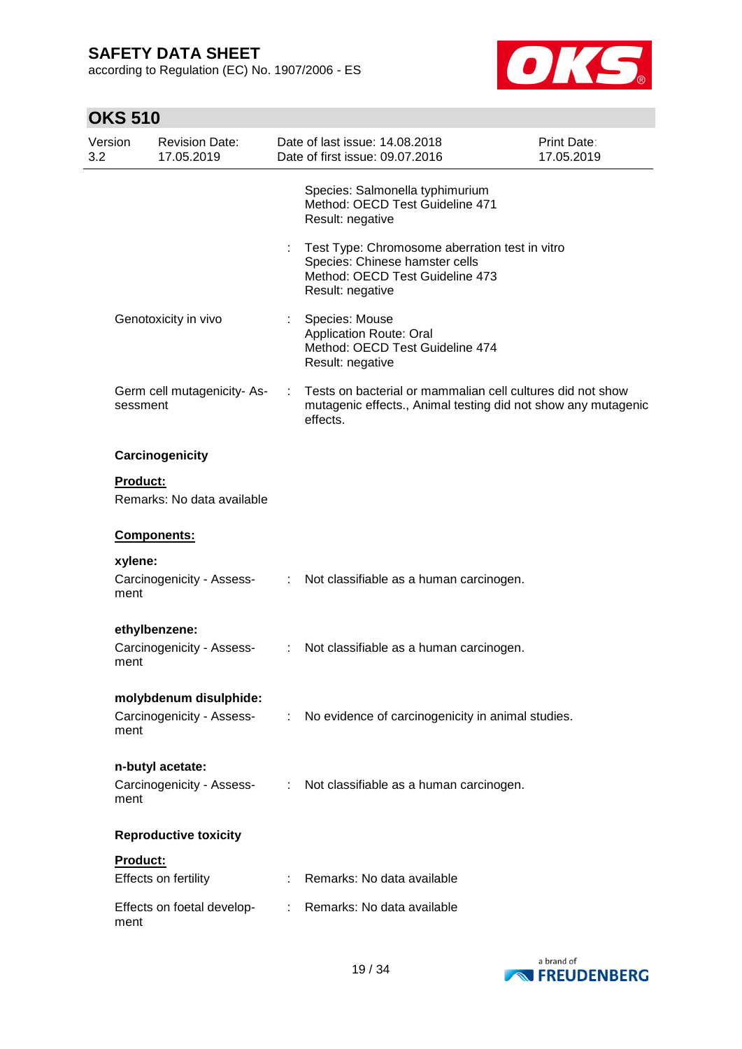according to Regulation (EC) No. 1907/2006 - ES



| Version<br>3.2 |                 | <b>Revision Date:</b><br>17.05.2019 |                       | Date of last issue: 14.08.2018<br>Date of first issue: 09.07.2016                                                                       | Print Date:<br>17.05.2019 |
|----------------|-----------------|-------------------------------------|-----------------------|-----------------------------------------------------------------------------------------------------------------------------------------|---------------------------|
|                |                 |                                     |                       | Species: Salmonella typhimurium<br>Method: OECD Test Guideline 471<br>Result: negative                                                  |                           |
|                |                 |                                     |                       | Test Type: Chromosome aberration test in vitro<br>Species: Chinese hamster cells<br>Method: OECD Test Guideline 473<br>Result: negative |                           |
|                |                 | Genotoxicity in vivo                |                       | Species: Mouse<br><b>Application Route: Oral</b><br>Method: OECD Test Guideline 474<br>Result: negative                                 |                           |
|                | sessment        | Germ cell mutagenicity-As-          | ÷                     | Tests on bacterial or mammalian cell cultures did not show<br>mutagenic effects., Animal testing did not show any mutagenic<br>effects. |                           |
|                |                 | Carcinogenicity                     |                       |                                                                                                                                         |                           |
|                | <b>Product:</b> | Remarks: No data available          |                       |                                                                                                                                         |                           |
|                |                 | Components:                         |                       |                                                                                                                                         |                           |
|                | xylene:         |                                     |                       |                                                                                                                                         |                           |
|                | ment            | Carcinogenicity - Assess-           | $\mathbb{R}^n$        | Not classifiable as a human carcinogen.                                                                                                 |                           |
|                |                 | ethylbenzene:                       |                       |                                                                                                                                         |                           |
|                | ment            | Carcinogenicity - Assess-           | ÷                     | Not classifiable as a human carcinogen.                                                                                                 |                           |
|                |                 | molybdenum disulphide:              |                       |                                                                                                                                         |                           |
|                | ment            | Carcinogenicity - Assess-           | $\mathbb{Z}^{\times}$ | No evidence of carcinogenicity in animal studies.                                                                                       |                           |
|                |                 | n-butyl acetate:                    |                       |                                                                                                                                         |                           |
|                | ment            | Carcinogenicity - Assess-           |                       | : Not classifiable as a human carcinogen.                                                                                               |                           |
|                |                 | <b>Reproductive toxicity</b>        |                       |                                                                                                                                         |                           |
|                | Product:        |                                     |                       |                                                                                                                                         |                           |
|                |                 | Effects on fertility                |                       | Remarks: No data available                                                                                                              |                           |
|                | ment            | Effects on foetal develop-          | ÷.                    | Remarks: No data available                                                                                                              |                           |

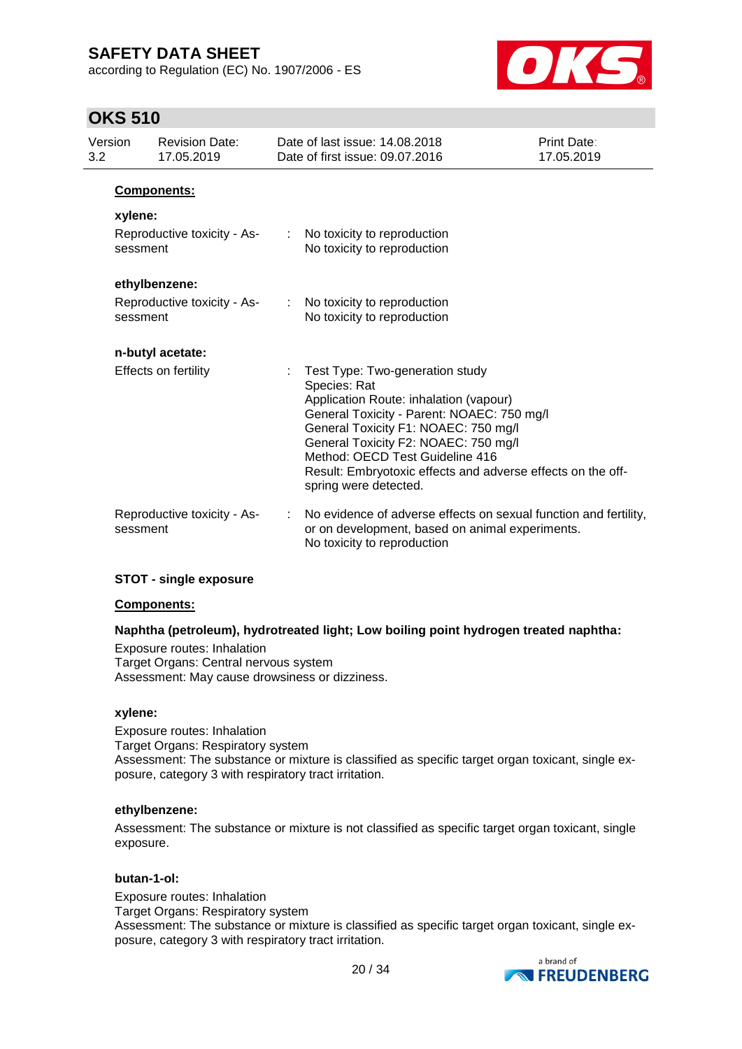according to Regulation (EC) No. 1907/2006 - ES



## **OKS 510**

| Version<br>3.2 | <b>Revision Date:</b><br>17.05.2019     | Date of last issue: 14,08,2018<br>Date of first issue: 09.07.2016                                                                                                                                                                                                                                                                                  | Print Date:<br>17.05.2019 |
|----------------|-----------------------------------------|----------------------------------------------------------------------------------------------------------------------------------------------------------------------------------------------------------------------------------------------------------------------------------------------------------------------------------------------------|---------------------------|
|                | <b>Components:</b>                      |                                                                                                                                                                                                                                                                                                                                                    |                           |
|                | xylene:                                 |                                                                                                                                                                                                                                                                                                                                                    |                           |
|                | Reproductive toxicity - As-<br>sessment | No toxicity to reproduction<br>$\mathbb{Z}^{\mathbb{Z}^n}$ .<br>No toxicity to reproduction                                                                                                                                                                                                                                                        |                           |
|                | ethylbenzene:                           |                                                                                                                                                                                                                                                                                                                                                    |                           |
|                | Reproductive toxicity - As-<br>sessment | No toxicity to reproduction<br>$\mathbb{R}^{\mathbb{Z}}$<br>No toxicity to reproduction                                                                                                                                                                                                                                                            |                           |
|                | n-butyl acetate:                        |                                                                                                                                                                                                                                                                                                                                                    |                           |
|                | <b>Effects on fertility</b>             | Test Type: Two-generation study<br>Species: Rat<br>Application Route: inhalation (vapour)<br>General Toxicity - Parent: NOAEC: 750 mg/l<br>General Toxicity F1: NOAEC: 750 mg/l<br>General Toxicity F2: NOAEC: 750 mg/l<br>Method: OECD Test Guideline 416<br>Result: Embryotoxic effects and adverse effects on the off-<br>spring were detected. |                           |
|                | Reproductive toxicity - As-<br>sessment | No evidence of adverse effects on sexual function and fertility,<br>or on development, based on animal experiments.<br>No toxicity to reproduction                                                                                                                                                                                                 |                           |

### **STOT - single exposure**

#### **Components:**

### **Naphtha (petroleum), hydrotreated light; Low boiling point hydrogen treated naphtha:**

Exposure routes: Inhalation Target Organs: Central nervous system Assessment: May cause drowsiness or dizziness.

#### **xylene:**

Exposure routes: Inhalation Target Organs: Respiratory system Assessment: The substance or mixture is classified as specific target organ toxicant, single exposure, category 3 with respiratory tract irritation.

#### **ethylbenzene:**

Assessment: The substance or mixture is not classified as specific target organ toxicant, single exposure.

#### **butan-1-ol:**

Exposure routes: Inhalation Target Organs: Respiratory system Assessment: The substance or mixture is classified as specific target organ toxicant, single exposure, category 3 with respiratory tract irritation.

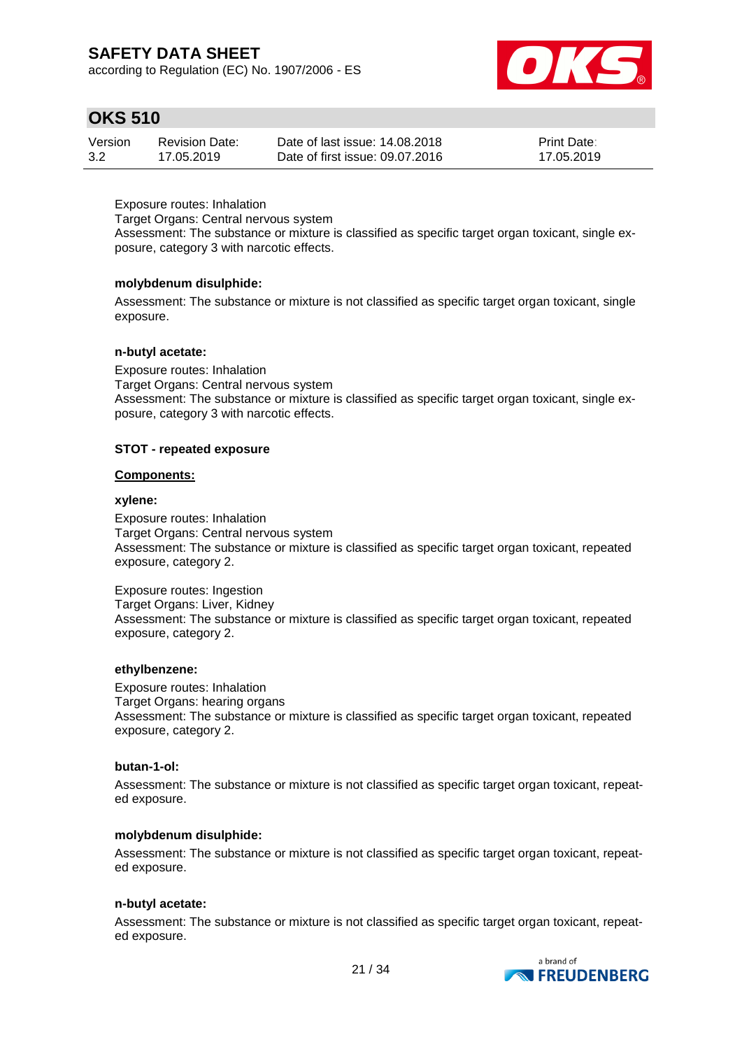according to Regulation (EC) No. 1907/2006 - ES



## **OKS 510**

| Version | <b>Revision Date:</b> | Date of last issue: 14.08.2018  | <b>Print Date:</b> |
|---------|-----------------------|---------------------------------|--------------------|
| 3.2     | 17.05.2019            | Date of first issue: 09.07.2016 | 17.05.2019         |

Exposure routes: Inhalation

Target Organs: Central nervous system

Assessment: The substance or mixture is classified as specific target organ toxicant, single exposure, category 3 with narcotic effects.

### **molybdenum disulphide:**

Assessment: The substance or mixture is not classified as specific target organ toxicant, single exposure.

### **n-butyl acetate:**

Exposure routes: Inhalation Target Organs: Central nervous system Assessment: The substance or mixture is classified as specific target organ toxicant, single exposure, category 3 with narcotic effects.

### **STOT - repeated exposure**

### **Components:**

#### **xylene:**

Exposure routes: Inhalation Target Organs: Central nervous system Assessment: The substance or mixture is classified as specific target organ toxicant, repeated exposure, category 2.

Exposure routes: Ingestion Target Organs: Liver, Kidney Assessment: The substance or mixture is classified as specific target organ toxicant, repeated exposure, category 2.

### **ethylbenzene:**

Exposure routes: Inhalation Target Organs: hearing organs Assessment: The substance or mixture is classified as specific target organ toxicant, repeated exposure, category 2.

#### **butan-1-ol:**

Assessment: The substance or mixture is not classified as specific target organ toxicant, repeated exposure.

### **molybdenum disulphide:**

Assessment: The substance or mixture is not classified as specific target organ toxicant, repeated exposure.

### **n-butyl acetate:**

Assessment: The substance or mixture is not classified as specific target organ toxicant, repeated exposure.

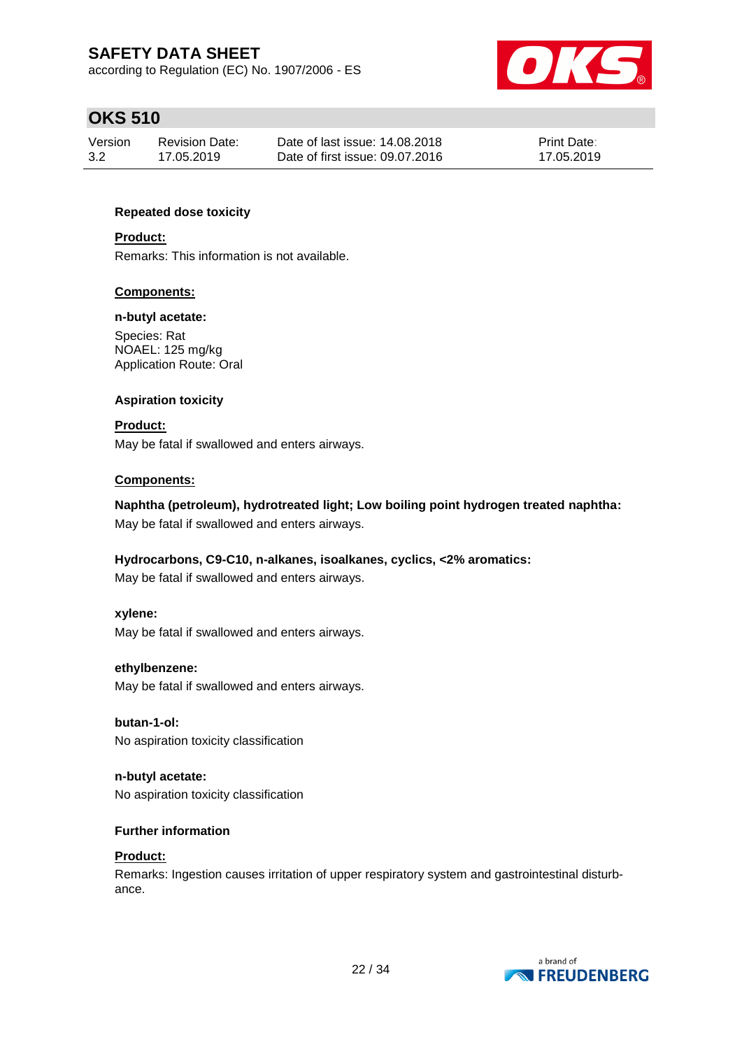according to Regulation (EC) No. 1907/2006 - ES



# **OKS 510**

| Version | Revision Date: | Date of last issue: 14,08,2018  | <b>Print Date:</b> |
|---------|----------------|---------------------------------|--------------------|
| 3.2     | 17.05.2019     | Date of first issue: 09.07.2016 | 17.05.2019         |

### **Repeated dose toxicity**

### **Product:**

Remarks: This information is not available.

### **Components:**

#### **n-butyl acetate:**

Species: Rat NOAEL: 125 mg/kg Application Route: Oral

### **Aspiration toxicity**

**Product:** May be fatal if swallowed and enters airways.

#### **Components:**

**Naphtha (petroleum), hydrotreated light; Low boiling point hydrogen treated naphtha:** May be fatal if swallowed and enters airways.

### **Hydrocarbons, C9-C10, n-alkanes, isoalkanes, cyclics, <2% aromatics:**

May be fatal if swallowed and enters airways.

#### **xylene:**

May be fatal if swallowed and enters airways.

#### **ethylbenzene:**

May be fatal if swallowed and enters airways.

### **butan-1-ol:**

No aspiration toxicity classification

**n-butyl acetate:** No aspiration toxicity classification

### **Further information**

### **Product:**

Remarks: Ingestion causes irritation of upper respiratory system and gastrointestinal disturbance.

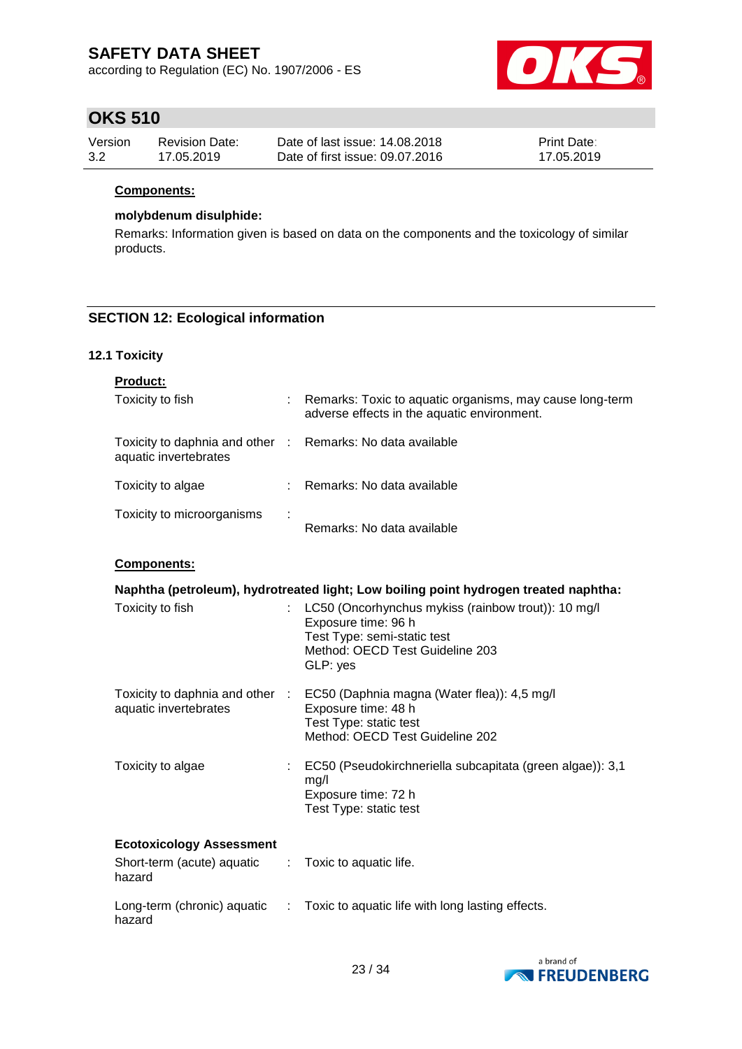according to Regulation (EC) No. 1907/2006 - ES



## **OKS 510**

| Version | Revision Date: | Date of last issue: 14.08.2018  | <b>Print Date:</b> |
|---------|----------------|---------------------------------|--------------------|
| 3.2     | 17.05.2019     | Date of first issue: 09.07.2016 | 17.05.2019         |

### **Components:**

### **molybdenum disulphide:**

Remarks: Information given is based on data on the components and the toxicology of similar products.

### **SECTION 12: Ecological information**

### **12.1 Toxicity**

| <b>Product:</b>                                                         |    |                                                                                                                                                          |
|-------------------------------------------------------------------------|----|----------------------------------------------------------------------------------------------------------------------------------------------------------|
| Toxicity to fish                                                        |    | Remarks: Toxic to aquatic organisms, may cause long-term<br>adverse effects in the aquatic environment.                                                  |
| Toxicity to daphnia and other :<br>aquatic invertebrates                |    | Remarks: No data available                                                                                                                               |
| Toxicity to algae                                                       |    | Remarks: No data available                                                                                                                               |
| Toxicity to microorganisms                                              |    | Remarks: No data available                                                                                                                               |
| Components:                                                             |    |                                                                                                                                                          |
|                                                                         |    | Naphtha (petroleum), hydrotreated light; Low boiling point hydrogen treated naphtha:                                                                     |
| Toxicity to fish                                                        | ÷. | LC50 (Oncorhynchus mykiss (rainbow trout)): 10 mg/l<br>Exposure time: 96 h<br>Test Type: semi-static test<br>Method: OECD Test Guideline 203<br>GLP: yes |
| Toxicity to daphnia and other<br>aquatic invertebrates                  | ÷. | EC50 (Daphnia magna (Water flea)): 4,5 mg/l<br>Exposure time: 48 h<br>Test Type: static test<br>Method: OECD Test Guideline 202                          |
| Toxicity to algae                                                       | ÷  | EC50 (Pseudokirchneriella subcapitata (green algae)): 3,1<br>mg/l<br>Exposure time: 72 h<br>Test Type: static test                                       |
| <b>Ecotoxicology Assessment</b><br>Short-term (acute) aquatic<br>hazard |    | Toxic to aquatic life.                                                                                                                                   |
| Long-term (chronic) aquatic<br>hazard                                   | ÷. | Toxic to aquatic life with long lasting effects.                                                                                                         |

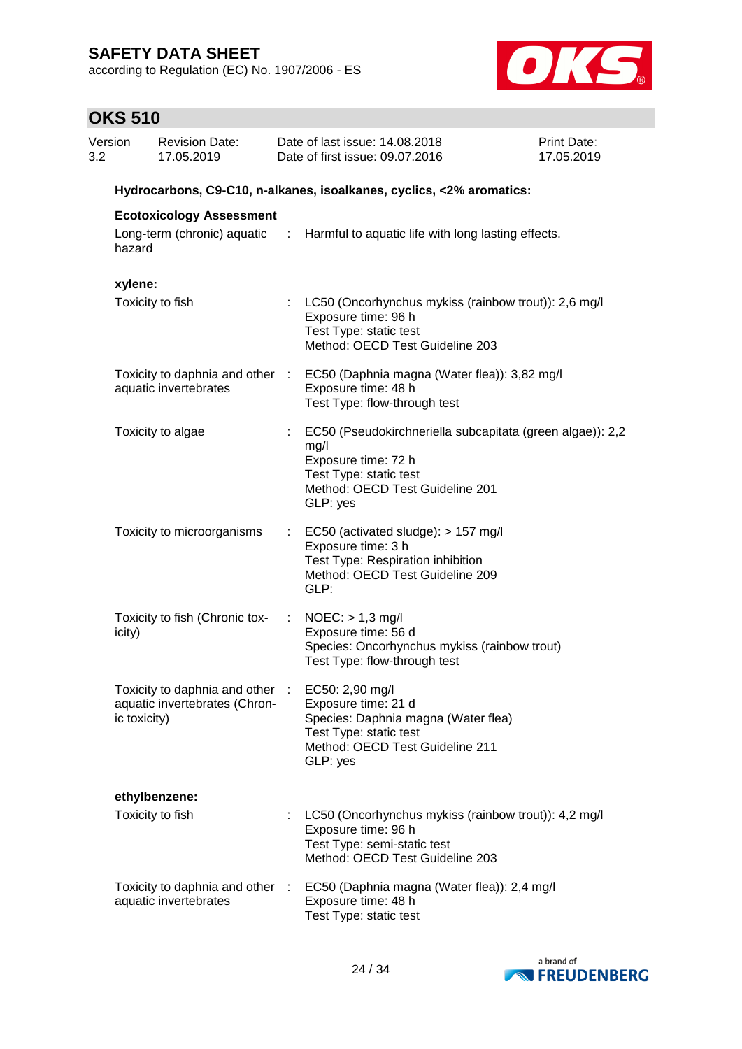according to Regulation (EC) No. 1907/2006 - ES



| Version<br>3.2 | <b>Revision Date:</b><br>17.05.2019                                                              |                            | Date of last issue: 14.08.2018<br>Date of first issue: 09.07.2016                                                                                                 | <b>Print Date:</b><br>17.05.2019 |
|----------------|--------------------------------------------------------------------------------------------------|----------------------------|-------------------------------------------------------------------------------------------------------------------------------------------------------------------|----------------------------------|
|                |                                                                                                  |                            | Hydrocarbons, C9-C10, n-alkanes, isoalkanes, cyclics, <2% aromatics:                                                                                              |                                  |
|                | <b>Ecotoxicology Assessment</b>                                                                  |                            |                                                                                                                                                                   |                                  |
|                | hazard                                                                                           |                            | Long-term (chronic) aquatic : Harmful to aquatic life with long lasting effects.                                                                                  |                                  |
|                | xylene:                                                                                          |                            |                                                                                                                                                                   |                                  |
|                | Toxicity to fish                                                                                 |                            | : LC50 (Oncorhynchus mykiss (rainbow trout)): 2,6 mg/l<br>Exposure time: 96 h<br>Test Type: static test<br>Method: OECD Test Guideline 203                        |                                  |
|                | aquatic invertebrates                                                                            |                            | Toxicity to daphnia and other : EC50 (Daphnia magna (Water flea)): 3,82 mg/l<br>Exposure time: 48 h<br>Test Type: flow-through test                               |                                  |
|                | Toxicity to algae                                                                                |                            | EC50 (Pseudokirchneriella subcapitata (green algae)): 2,2<br>mg/l<br>Exposure time: 72 h<br>Test Type: static test<br>Method: OECD Test Guideline 201<br>GLP: yes |                                  |
|                | Toxicity to microorganisms                                                                       | $\mathcal{L}^{\text{max}}$ | EC50 (activated sludge): > 157 mg/l<br>Exposure time: 3 h<br>Test Type: Respiration inhibition<br>Method: OECD Test Guideline 209<br>GLP:                         |                                  |
|                | Toxicity to fish (Chronic tox-<br>icity)                                                         | ÷                          | $NOEC:$ > 1,3 mg/l<br>Exposure time: 56 d<br>Species: Oncorhynchus mykiss (rainbow trout)<br>Test Type: flow-through test                                         |                                  |
|                | Toxicity to daphnia and other : EC50: 2,90 mg/l<br>aquatic invertebrates (Chron-<br>ic toxicity) |                            | Exposure time: 21 d<br>Species: Daphnia magna (Water flea)<br>Test Type: static test<br>Method: OECD Test Guideline 211<br>GLP: yes                               |                                  |
|                | ethylbenzene:                                                                                    |                            |                                                                                                                                                                   |                                  |
|                | Toxicity to fish                                                                                 |                            | : LC50 (Oncorhynchus mykiss (rainbow trout)): 4,2 mg/l<br>Exposure time: 96 h<br>Test Type: semi-static test<br>Method: OECD Test Guideline 203                   |                                  |
|                | Toxicity to daphnia and other :<br>aquatic invertebrates                                         |                            | EC50 (Daphnia magna (Water flea)): 2,4 mg/l<br>Exposure time: 48 h<br>Test Type: static test                                                                      |                                  |

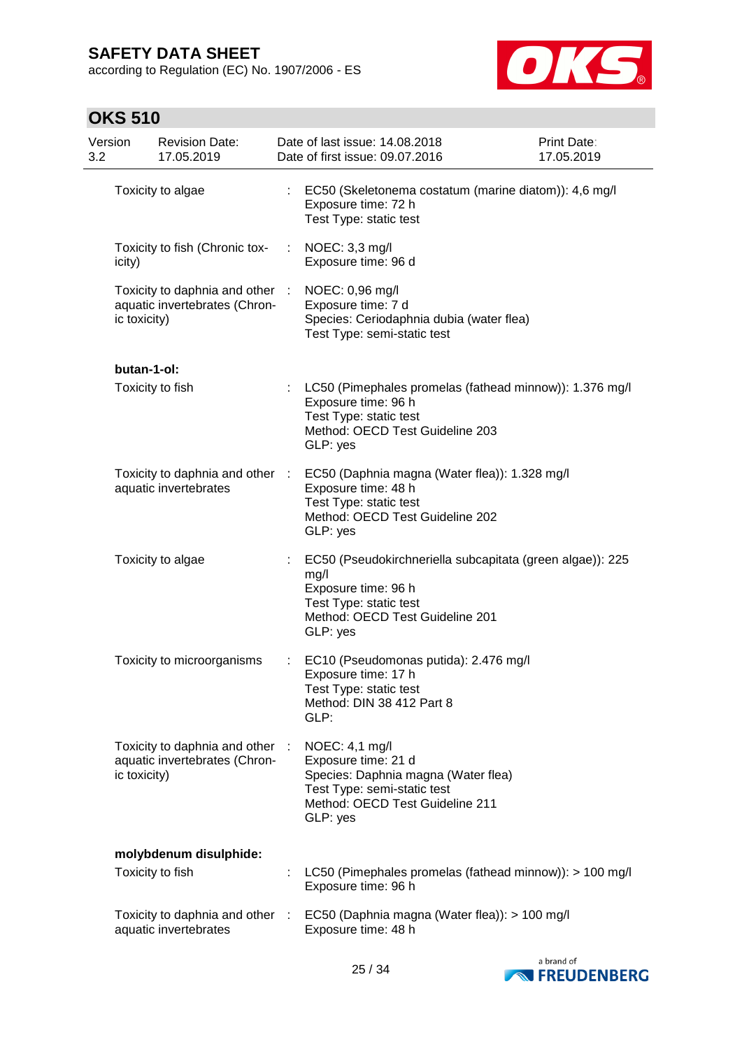according to Regulation (EC) No. 1907/2006 - ES



| Version<br>3.2 |                  | <b>Revision Date:</b><br>17.05.2019                            |                | Date of last issue: 14.08.2018<br>Date of first issue: 09.07.2016                                                                                                 | <b>Print Date:</b><br>17.05.2019 |
|----------------|------------------|----------------------------------------------------------------|----------------|-------------------------------------------------------------------------------------------------------------------------------------------------------------------|----------------------------------|
|                |                  | Toxicity to algae                                              |                | EC50 (Skeletonema costatum (marine diatom)): 4,6 mg/l<br>Exposure time: 72 h<br>Test Type: static test                                                            |                                  |
|                | icity)           | Toxicity to fish (Chronic tox-                                 |                | NOEC: 3,3 mg/l<br>Exposure time: 96 d                                                                                                                             |                                  |
|                | ic toxicity)     | Toxicity to daphnia and other<br>aquatic invertebrates (Chron- | $\mathbb{R}^n$ | NOEC: 0,96 mg/l<br>Exposure time: 7 d<br>Species: Ceriodaphnia dubia (water flea)<br>Test Type: semi-static test                                                  |                                  |
|                | butan-1-ol:      |                                                                |                |                                                                                                                                                                   |                                  |
|                | Toxicity to fish |                                                                | ÷.             | LC50 (Pimephales promelas (fathead minnow)): 1.376 mg/l<br>Exposure time: 96 h<br>Test Type: static test<br>Method: OECD Test Guideline 203<br>GLP: yes           |                                  |
|                |                  | Toxicity to daphnia and other<br>aquatic invertebrates         | $\sim$         | EC50 (Daphnia magna (Water flea)): 1.328 mg/l<br>Exposure time: 48 h<br>Test Type: static test<br>Method: OECD Test Guideline 202<br>GLP: yes                     |                                  |
|                |                  | Toxicity to algae                                              | t.             | EC50 (Pseudokirchneriella subcapitata (green algae)): 225<br>mg/l<br>Exposure time: 96 h<br>Test Type: static test<br>Method: OECD Test Guideline 201<br>GLP: yes |                                  |
|                |                  | Toxicity to microorganisms                                     |                | EC10 (Pseudomonas putida): 2.476 mg/l<br>Exposure time: 17 h<br>Test Type: static test<br>Method: DIN 38 412 Part 8<br>GLP:                                       |                                  |
|                | ic toxicity)     | Toxicity to daphnia and other<br>aquatic invertebrates (Chron- | ÷              | NOEC: 4,1 mg/l<br>Exposure time: 21 d<br>Species: Daphnia magna (Water flea)<br>Test Type: semi-static test<br>Method: OECD Test Guideline 211<br>GLP: yes        |                                  |
|                |                  | molybdenum disulphide:                                         |                |                                                                                                                                                                   |                                  |
|                | Toxicity to fish |                                                                |                | LC50 (Pimephales promelas (fathead minnow)): > 100 mg/l<br>Exposure time: 96 h                                                                                    |                                  |
|                |                  | Toxicity to daphnia and other :<br>aquatic invertebrates       |                | EC50 (Daphnia magna (Water flea)): > 100 mg/l<br>Exposure time: 48 h                                                                                              |                                  |

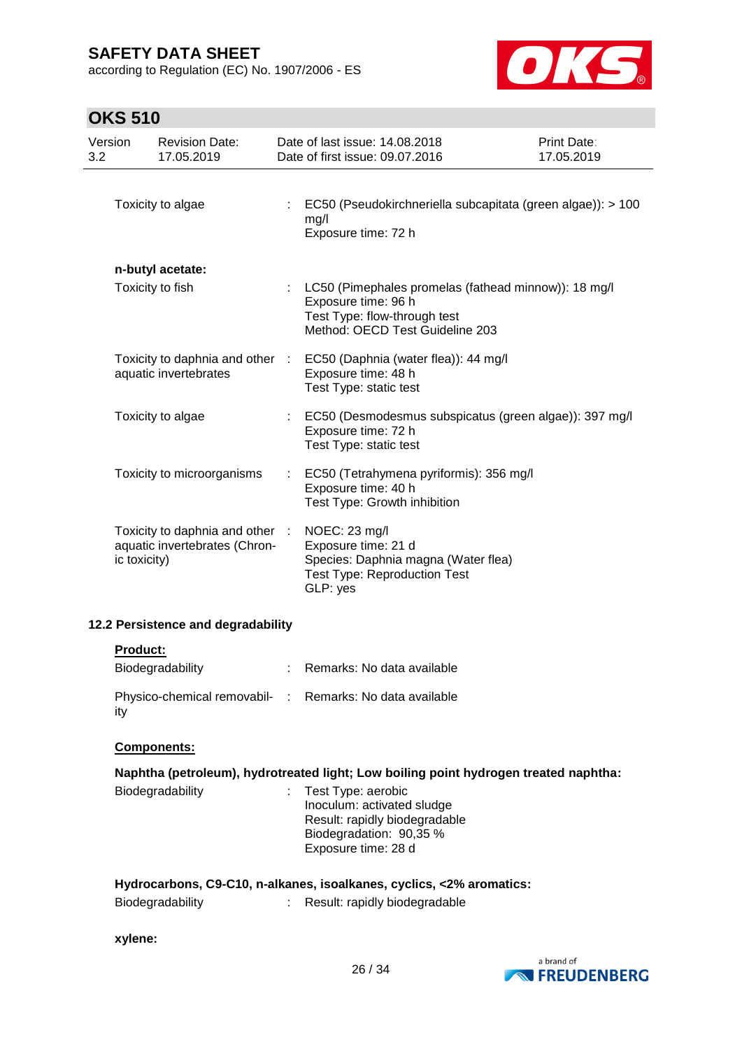according to Regulation (EC) No. 1907/2006 - ES



# **OKS 510**

| Version<br>3.2 |              | <b>Revision Date:</b><br>17.05.2019                              |   | Date of last issue: 14.08.2018<br>Date of first issue: 09.07.2016                                                                                | Print Date:<br>17.05.2019 |
|----------------|--------------|------------------------------------------------------------------|---|--------------------------------------------------------------------------------------------------------------------------------------------------|---------------------------|
|                |              | Toxicity to algae                                                |   | : EC50 (Pseudokirchneriella subcapitata (green algae)): > 100<br>mg/l<br>Exposure time: 72 h                                                     |                           |
|                |              | n-butyl acetate:                                                 |   |                                                                                                                                                  |                           |
|                |              | Toxicity to fish                                                 |   | : LC50 (Pimephales promelas (fathead minnow)): 18 mg/l<br>Exposure time: 96 h<br>Test Type: flow-through test<br>Method: OECD Test Guideline 203 |                           |
|                |              | Toxicity to daphnia and other :<br>aquatic invertebrates         |   | EC50 (Daphnia (water flea)): 44 mg/l<br>Exposure time: 48 h<br>Test Type: static test                                                            |                           |
|                |              | Toxicity to algae                                                |   | EC50 (Desmodesmus subspicatus (green algae)): 397 mg/l<br>Exposure time: 72 h<br>Test Type: static test                                          |                           |
|                |              | Toxicity to microorganisms                                       |   | EC50 (Tetrahymena pyriformis): 356 mg/l<br>Exposure time: 40 h<br>Test Type: Growth inhibition                                                   |                           |
|                | ic toxicity) | Toxicity to daphnia and other :<br>aquatic invertebrates (Chron- |   | NOEC: 23 mg/l<br>Exposure time: 21 d<br>Species: Daphnia magna (Water flea)<br><b>Test Type: Reproduction Test</b><br>GLP: yes                   |                           |
|                |              | 12.2 Persistence and degradability                               |   |                                                                                                                                                  |                           |
|                | Product:     |                                                                  |   |                                                                                                                                                  |                           |
|                |              | Biodegradability                                                 |   | : Remarks: No data available                                                                                                                     |                           |
| ity            |              |                                                                  |   | Physico-chemical removabil- : Remarks: No data available                                                                                         |                           |
|                |              | Components:                                                      |   |                                                                                                                                                  |                           |
|                |              |                                                                  |   | Naphtha (petroleum), hydrotreated light; Low boiling point hydrogen treated naphtha:                                                             |                           |
|                |              | Biodegradability                                                 | ÷ | Test Type: aerobic<br>Inoculum: activated sludge<br>Result: rapidly biodegradable<br>Biodegradation: 90,35 %<br>Exposure time: 28 d              |                           |
|                |              |                                                                  |   | Hydrocarbons, C9-C10, n-alkanes, isoalkanes, cyclics, <2% aromatics:                                                                             |                           |
|                |              | Biodegradability                                                 |   | Result: rapidly biodegradable                                                                                                                    |                           |

#### **xylene:**

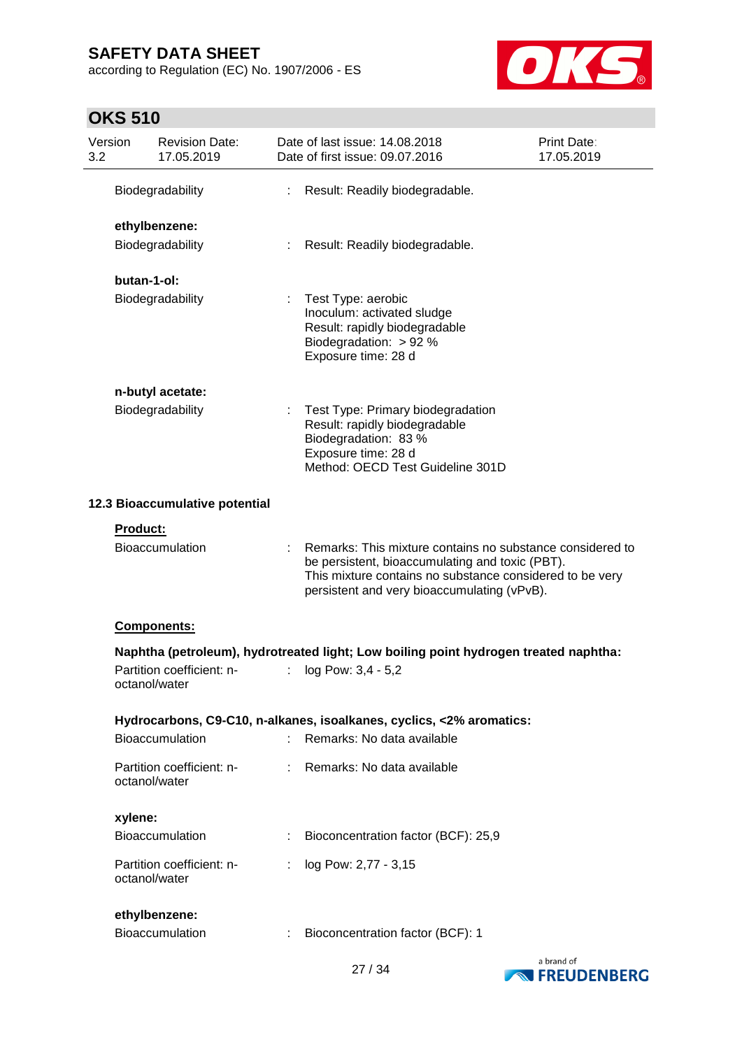according to Regulation (EC) No. 1907/2006 - ES



| Version<br>3.2 |               | <b>Revision Date:</b><br>17.05.2019 |                | Date of last issue: 14.08.2018<br>Date of first issue: 09.07.2016                                                                                                                                                       | <b>Print Date:</b><br>17.05.2019 |
|----------------|---------------|-------------------------------------|----------------|-------------------------------------------------------------------------------------------------------------------------------------------------------------------------------------------------------------------------|----------------------------------|
|                |               | Biodegradability                    | ÷.             | Result: Readily biodegradable.                                                                                                                                                                                          |                                  |
|                |               | ethylbenzene:                       |                |                                                                                                                                                                                                                         |                                  |
|                |               | Biodegradability                    | $\mathbb{R}^n$ | Result: Readily biodegradable.                                                                                                                                                                                          |                                  |
|                | butan-1-ol:   |                                     |                |                                                                                                                                                                                                                         |                                  |
|                |               | Biodegradability                    | ÷              | Test Type: aerobic<br>Inoculum: activated sludge<br>Result: rapidly biodegradable<br>Biodegradation: > 92 %<br>Exposure time: 28 d                                                                                      |                                  |
|                |               | n-butyl acetate:                    |                |                                                                                                                                                                                                                         |                                  |
|                |               | Biodegradability                    |                | Test Type: Primary biodegradation<br>Result: rapidly biodegradable<br>Biodegradation: 83 %<br>Exposure time: 28 d<br>Method: OECD Test Guideline 301D                                                                   |                                  |
|                |               | 12.3 Bioaccumulative potential      |                |                                                                                                                                                                                                                         |                                  |
|                | Product:      |                                     |                |                                                                                                                                                                                                                         |                                  |
|                |               | <b>Bioaccumulation</b>              |                | Remarks: This mixture contains no substance considered to<br>be persistent, bioaccumulating and toxic (PBT).<br>This mixture contains no substance considered to be very<br>persistent and very bioaccumulating (vPvB). |                                  |
|                |               | Components:                         |                |                                                                                                                                                                                                                         |                                  |
|                |               |                                     |                | Naphtha (petroleum), hydrotreated light; Low boiling point hydrogen treated naphtha:                                                                                                                                    |                                  |
|                | octanol/water | Partition coefficient: n-           | ÷.             | log Pow: 3,4 - 5,2                                                                                                                                                                                                      |                                  |
|                |               |                                     |                | Hydrocarbons, C9-C10, n-alkanes, isoalkanes, cyclics, <2% aromatics:                                                                                                                                                    |                                  |
|                |               | Bioaccumulation                     | ÷              | Remarks: No data available                                                                                                                                                                                              |                                  |
|                | octanol/water | Partition coefficient: n-           |                | Remarks: No data available                                                                                                                                                                                              |                                  |
|                | xylene:       |                                     |                |                                                                                                                                                                                                                         |                                  |
|                |               | Bioaccumulation                     |                | Bioconcentration factor (BCF): 25,9                                                                                                                                                                                     |                                  |
|                | octanol/water | Partition coefficient: n-           | t.             | log Pow: 2,77 - 3,15                                                                                                                                                                                                    |                                  |
|                |               | ethylbenzene:                       |                |                                                                                                                                                                                                                         |                                  |
|                |               | Bioaccumulation                     | ÷              | Bioconcentration factor (BCF): 1                                                                                                                                                                                        |                                  |

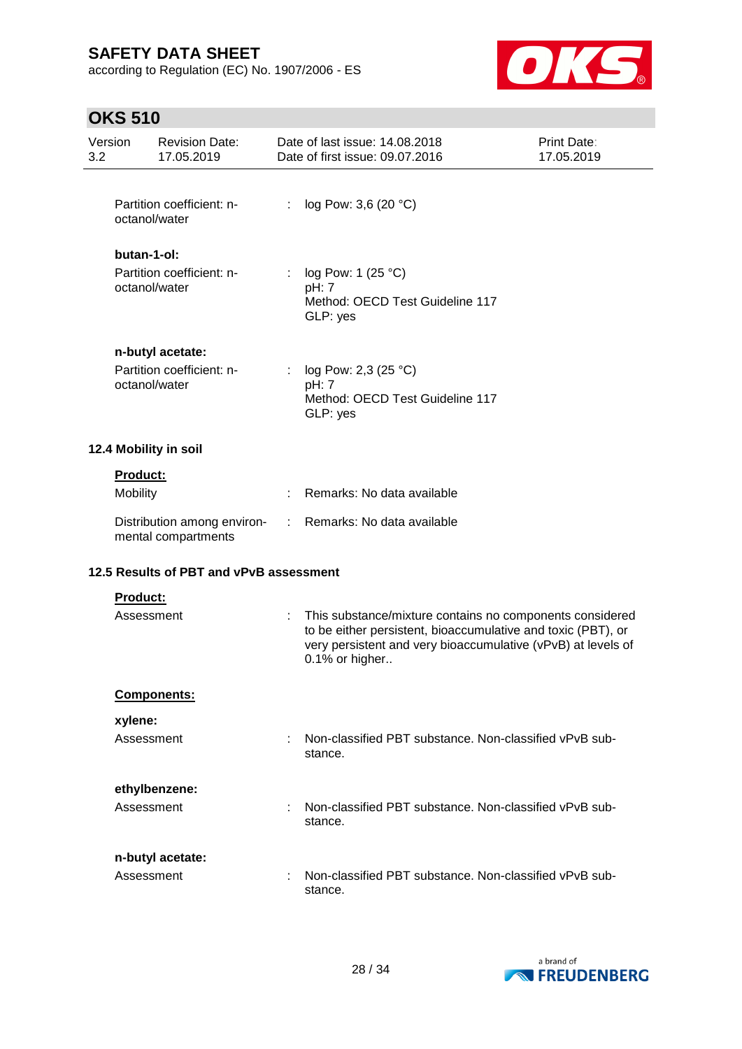according to Regulation (EC) No. 1907/2006 - ES



| 3.2 | Version                      | <b>Revision Date:</b><br>17.05.2019                |    | Date of last issue: 14,08,2018<br>Date of first issue: 09.07.2016                                                                                                                                          | Print Date:<br>17.05.2019 |
|-----|------------------------------|----------------------------------------------------|----|------------------------------------------------------------------------------------------------------------------------------------------------------------------------------------------------------------|---------------------------|
|     | octanol/water                | Partition coefficient: n-                          | ÷. | log Pow: 3,6 (20 °C)                                                                                                                                                                                       |                           |
|     | butan-1-ol:<br>octanol/water | Partition coefficient: n-                          |    | log Pow: 1 (25 °C)<br>pH: 7<br>Method: OECD Test Guideline 117<br>GLP: yes                                                                                                                                 |                           |
|     | octanol/water                | n-butyl acetate:<br>Partition coefficient: n-      |    | log Pow: 2,3 $(25 °C)$<br>pH: 7<br>Method: OECD Test Guideline 117<br>GLP: yes                                                                                                                             |                           |
|     |                              | 12.4 Mobility in soil                              |    |                                                                                                                                                                                                            |                           |
|     | <b>Product:</b><br>Mobility  |                                                    |    | Remarks: No data available                                                                                                                                                                                 |                           |
|     |                              | Distribution among environ-<br>mental compartments | ÷. | Remarks: No data available                                                                                                                                                                                 |                           |
|     |                              | 12.5 Results of PBT and vPvB assessment            |    |                                                                                                                                                                                                            |                           |
|     | Product:<br>Assessment       |                                                    |    | This substance/mixture contains no components considered<br>to be either persistent, bioaccumulative and toxic (PBT), or<br>very persistent and very bioaccumulative (vPvB) at levels of<br>0.1% or higher |                           |
|     |                              | Components:                                        |    |                                                                                                                                                                                                            |                           |
|     | xylene:<br>Assessment        |                                                    |    | Non-classified PBT substance. Non-classified vPvB sub-<br>stance.                                                                                                                                          |                           |
|     | Assessment                   | ethylbenzene:                                      |    | Non-classified PBT substance. Non-classified vPvB sub-<br>stance.                                                                                                                                          |                           |
|     | Assessment                   | n-butyl acetate:                                   |    | Non-classified PBT substance. Non-classified vPvB sub-<br>stance.                                                                                                                                          |                           |

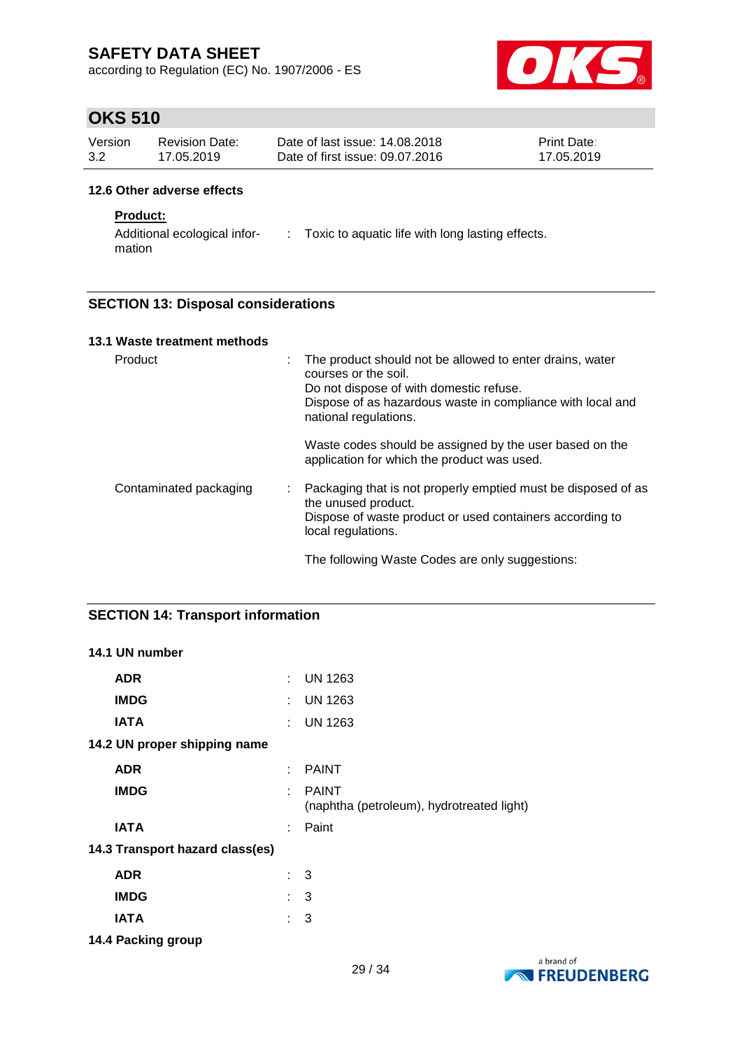according to Regulation (EC) No. 1907/2006 - ES



## **OKS 510**

| Version | Revision Date: | Date of last issue: 14.08.2018  | <b>Print Date:</b> |
|---------|----------------|---------------------------------|--------------------|
| 3.2     | 17.05.2019     | Date of first issue: 09.07.2016 | 17.05.2019         |

### **12.6 Other adverse effects**

### **Product:**

Additional ecological infor-: Toxic to aquatic life with long lasting effects. mation

### **SECTION 13: Disposal considerations**

| 13.1 Waste treatment methods |                                                                                                                                                                                                                         |
|------------------------------|-------------------------------------------------------------------------------------------------------------------------------------------------------------------------------------------------------------------------|
| Product                      | The product should not be allowed to enter drains, water<br>÷<br>courses or the soil.<br>Do not dispose of with domestic refuse.<br>Dispose of as hazardous waste in compliance with local and<br>national regulations. |
|                              | Waste codes should be assigned by the user based on the<br>application for which the product was used.                                                                                                                  |
| Contaminated packaging       | Packaging that is not properly emptied must be disposed of as<br>÷<br>the unused product.<br>Dispose of waste product or used containers according to<br>local regulations.                                             |
|                              | The following Waste Codes are only suggestions:                                                                                                                                                                         |

### **SECTION 14: Transport information**

| 14.1 UN number                  |   |                                                           |
|---------------------------------|---|-----------------------------------------------------------|
| <b>ADR</b>                      | ÷ | <b>UN 1263</b>                                            |
| <b>IMDG</b>                     | ÷ | <b>UN 1263</b>                                            |
| <b>IATA</b>                     | ÷ | <b>UN 1263</b>                                            |
| 14.2 UN proper shipping name    |   |                                                           |
| <b>ADR</b>                      | ÷ | <b>PAINT</b>                                              |
| <b>IMDG</b>                     | ÷ | <b>PAINT</b><br>(naphtha (petroleum), hydrotreated light) |
| <b>IATA</b>                     | ÷ | Paint                                                     |
| 14.3 Transport hazard class(es) |   |                                                           |
| <b>ADR</b>                      |   | $\therefore$ 3                                            |
| <b>IMDG</b>                     |   | $\therefore$ 3                                            |
| <b>IATA</b>                     |   | 3                                                         |
|                                 |   |                                                           |

**14.4 Packing group**

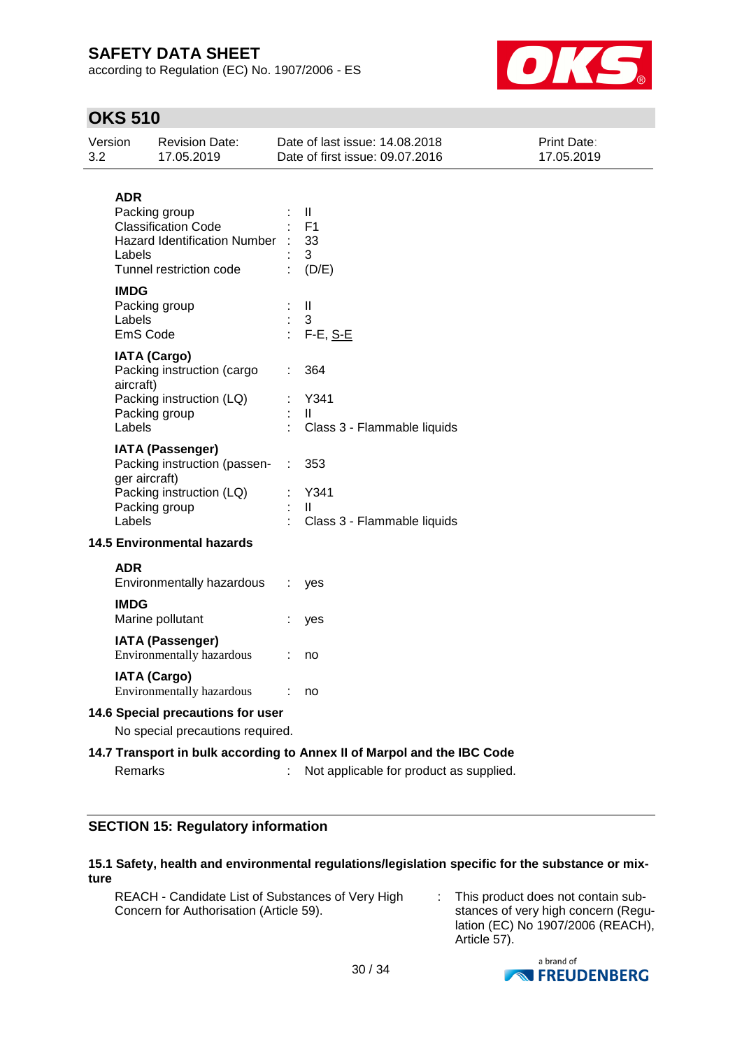according to Regulation (EC) No. 1907/2006 - ES



# **OKS 510**

| 3.2 | Version                           | <b>Revision Date:</b><br>17.05.2019                                                                           |           | Date of last issue: 14.08.2018<br>Date of first issue: 09.07.2016                                                  | Print Date:<br>17.05.2019 |
|-----|-----------------------------------|---------------------------------------------------------------------------------------------------------------|-----------|--------------------------------------------------------------------------------------------------------------------|---------------------------|
|     | <b>ADR</b><br>Labels              | Packing group<br><b>Classification Code</b><br><b>Hazard Identification Number</b><br>Tunnel restriction code |           | Ш<br>F <sub>1</sub><br>33<br>3<br>(D/E)                                                                            |                           |
|     | <b>IMDG</b><br>Labels<br>EmS Code | Packing group                                                                                                 |           | $\mathbf{II}$<br>3<br>$F-E, S-E$                                                                                   |                           |
|     | aircraft)<br>Labels               | <b>IATA (Cargo)</b><br>Packing instruction (cargo<br>Packing instruction (LQ)<br>Packing group                |           | 364<br>Y341<br>$\mathbf{H}$<br>Class 3 - Flammable liquids                                                         |                           |
|     | ger aircraft)<br>Labels           | <b>IATA (Passenger)</b><br>Packing instruction (passen-<br>Packing instruction (LQ)<br>Packing group          | $\sim 10$ | 353<br>Y341<br>$\mathbf{H}$<br>Class 3 - Flammable liquids                                                         |                           |
|     |                                   | <b>14.5 Environmental hazards</b>                                                                             |           |                                                                                                                    |                           |
|     | <b>ADR</b>                        | Environmentally hazardous                                                                                     |           | yes                                                                                                                |                           |
|     | <b>IMDG</b>                       | Marine pollutant                                                                                              |           | yes                                                                                                                |                           |
|     |                                   | <b>IATA (Passenger)</b><br>Environmentally hazardous                                                          |           | no                                                                                                                 |                           |
|     |                                   | <b>IATA (Cargo)</b><br>Environmentally hazardous                                                              |           | no                                                                                                                 |                           |
|     |                                   | 14.6 Special precautions for user                                                                             |           |                                                                                                                    |                           |
|     |                                   | No special precautions required.                                                                              |           |                                                                                                                    |                           |
|     | Remarks                           |                                                                                                               |           | 14.7 Transport in bulk according to Annex II of Marpol and the IBC Code<br>Not applicable for product as supplied. |                           |

### **SECTION 15: Regulatory information**

### **15.1 Safety, health and environmental regulations/legislation specific for the substance or mixture**

| REACH - Candidate List of Substances of Very High<br>Concern for Authorisation (Article 59). |  | This product does not contain sub-<br>stances of very high concern (Regu-<br>lation (EC) No 1907/2006 (REACH), |
|----------------------------------------------------------------------------------------------|--|----------------------------------------------------------------------------------------------------------------|
|----------------------------------------------------------------------------------------------|--|----------------------------------------------------------------------------------------------------------------|



Article 57).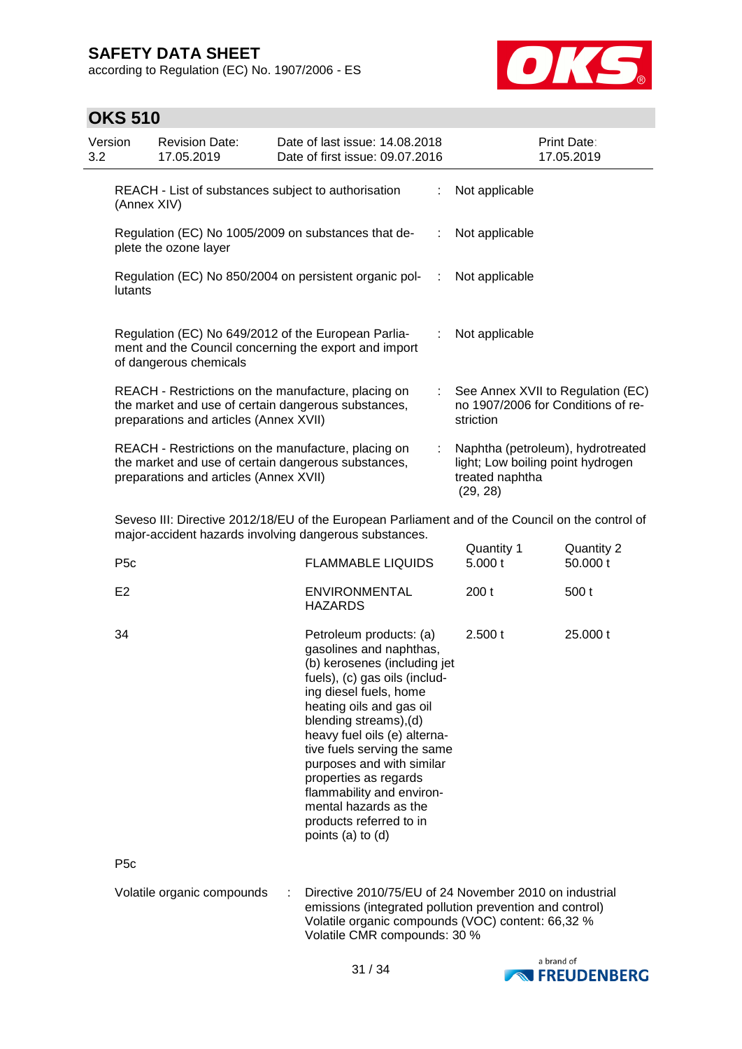according to Regulation (EC) No. 1907/2006 - ES



| Version<br>3.2 |                                                                                                                                                                                     | <b>Revision Date:</b><br>17.05.2019                                                                                                                  |  | Date of last issue: 14.08.2018<br>Date of first issue: 09.07.2016                                                                                                                                                                                                                                                                                                                                                              |                |                       | Print Date:<br>17.05.2019                                               |
|----------------|-------------------------------------------------------------------------------------------------------------------------------------------------------------------------------------|------------------------------------------------------------------------------------------------------------------------------------------------------|--|--------------------------------------------------------------------------------------------------------------------------------------------------------------------------------------------------------------------------------------------------------------------------------------------------------------------------------------------------------------------------------------------------------------------------------|----------------|-----------------------|-------------------------------------------------------------------------|
|                | REACH - List of substances subject to authorisation<br>(Annex XIV)                                                                                                                  |                                                                                                                                                      |  |                                                                                                                                                                                                                                                                                                                                                                                                                                | ÷.             | Not applicable        |                                                                         |
|                | Regulation (EC) No 1005/2009 on substances that de-<br>÷<br>plete the ozone layer                                                                                                   |                                                                                                                                                      |  |                                                                                                                                                                                                                                                                                                                                                                                                                                |                | Not applicable        |                                                                         |
|                | Regulation (EC) No 850/2004 on persistent organic pol-<br>÷<br>lutants                                                                                                              |                                                                                                                                                      |  |                                                                                                                                                                                                                                                                                                                                                                                                                                | Not applicable |                       |                                                                         |
|                |                                                                                                                                                                                     | Regulation (EC) No 649/2012 of the European Parlia-<br>ment and the Council concerning the export and import<br>of dangerous chemicals               |  |                                                                                                                                                                                                                                                                                                                                                                                                                                | ÷.             | Not applicable        |                                                                         |
|                |                                                                                                                                                                                     | REACH - Restrictions on the manufacture, placing on<br>the market and use of certain dangerous substances,<br>preparations and articles (Annex XVII) |  |                                                                                                                                                                                                                                                                                                                                                                                                                                | t.             | striction             | See Annex XVII to Regulation (EC)<br>no 1907/2006 for Conditions of re- |
|                | REACH - Restrictions on the manufacture, placing on<br>the market and use of certain dangerous substances,<br>treated naphtha<br>preparations and articles (Annex XVII)<br>(29, 28) |                                                                                                                                                      |  | Naphtha (petroleum), hydrotreated<br>light; Low boiling point hydrogen                                                                                                                                                                                                                                                                                                                                                         |                |                       |                                                                         |
|                |                                                                                                                                                                                     |                                                                                                                                                      |  | Seveso III: Directive 2012/18/EU of the European Parliament and of the Council on the control of<br>major-accident hazards involving dangerous substances.                                                                                                                                                                                                                                                                     |                |                       |                                                                         |
|                | P <sub>5c</sub>                                                                                                                                                                     |                                                                                                                                                      |  | <b>FLAMMABLE LIQUIDS</b>                                                                                                                                                                                                                                                                                                                                                                                                       |                | Quantity 1<br>5.000 t | Quantity 2<br>50.000 t                                                  |
|                | E <sub>2</sub>                                                                                                                                                                      |                                                                                                                                                      |  | <b>ENVIRONMENTAL</b><br><b>HAZARDS</b>                                                                                                                                                                                                                                                                                                                                                                                         |                | 200t                  | 500 t                                                                   |
|                | 34                                                                                                                                                                                  |                                                                                                                                                      |  | Petroleum products: (a)<br>gasolines and naphthas,<br>(b) kerosenes (including jet<br>fuels), (c) gas oils (includ-<br>ing diesel fuels, home<br>heating oils and gas oil<br>blending streams), (d)<br>heavy fuel oils (e) alterna-<br>tive fuels serving the same<br>purposes and with similar<br>properties as regards<br>flammability and environ-<br>mental hazards as the<br>products referred to in<br>points (a) to (d) |                | 2.500 t               | 25.000 t                                                                |
|                | P <sub>5c</sub>                                                                                                                                                                     |                                                                                                                                                      |  |                                                                                                                                                                                                                                                                                                                                                                                                                                |                |                       |                                                                         |
|                |                                                                                                                                                                                     | Volatile organic compounds                                                                                                                           |  | Directive 2010/75/EU of 24 November 2010 on industrial<br>emissions (integrated pollution prevention and control)<br>Volatile organic compounds (VOC) content: 66,32 %<br>Volatile CMR compounds: 30 %                                                                                                                                                                                                                         |                |                       |                                                                         |
|                |                                                                                                                                                                                     |                                                                                                                                                      |  |                                                                                                                                                                                                                                                                                                                                                                                                                                |                |                       | a brand of                                                              |

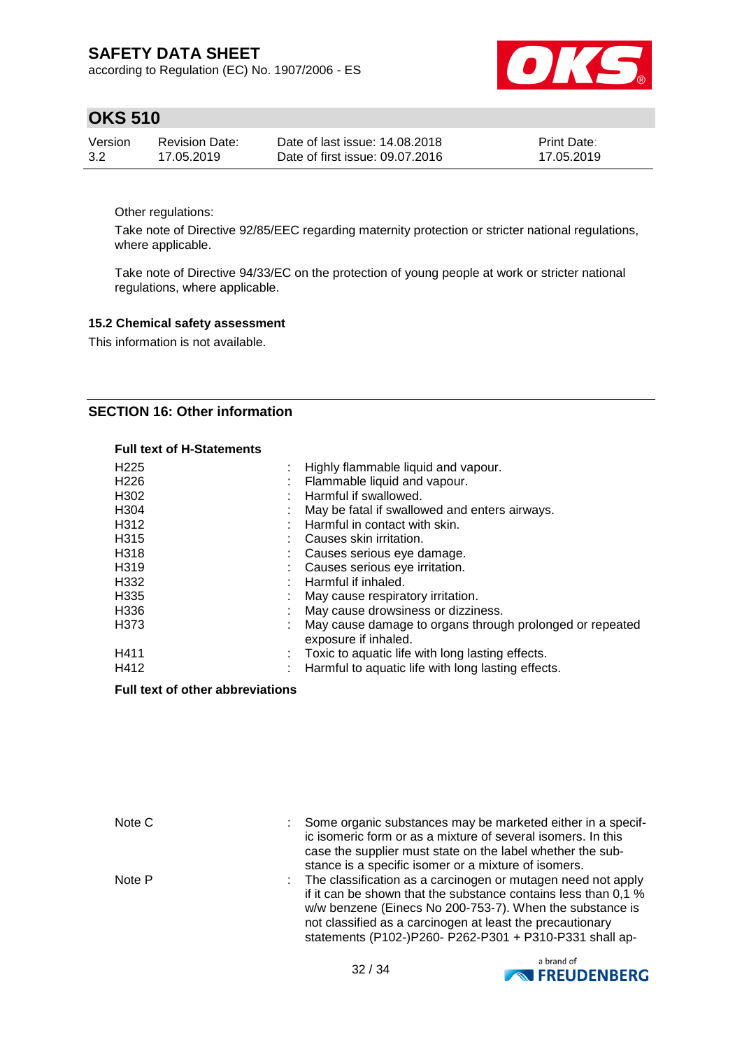according to Regulation (EC) No. 1907/2006 - ES



### **OKS 510**

| Version | Revision Date: | Date of last issue: 14.08.2018  | <b>Print Date:</b> |
|---------|----------------|---------------------------------|--------------------|
| 3.2     | 17.05.2019     | Date of first issue: 09.07.2016 | 17.05.2019         |

Other regulations:

Take note of Directive 92/85/EEC regarding maternity protection or stricter national regulations, where applicable.

Take note of Directive 94/33/EC on the protection of young people at work or stricter national regulations, where applicable.

### **15.2 Chemical safety assessment**

This information is not available.

### **SECTION 16: Other information**

#### **Full text of H-Statements**

| H <sub>225</sub> | ÷ | Highly flammable liquid and vapour.                                              |
|------------------|---|----------------------------------------------------------------------------------|
| H <sub>226</sub> |   | Flammable liquid and vapour.                                                     |
| H <sub>302</sub> |   | Harmful if swallowed.                                                            |
| H <sub>304</sub> |   | May be fatal if swallowed and enters airways.                                    |
| H312             |   | Harmful in contact with skin.                                                    |
| H <sub>315</sub> |   | Causes skin irritation.                                                          |
| H318             |   | Causes serious eye damage.                                                       |
| H319             |   | Causes serious eye irritation.                                                   |
| H332             |   | Harmful if inhaled.                                                              |
| H335             |   | May cause respiratory irritation.                                                |
| H <sub>336</sub> |   | May cause drowsiness or dizziness.                                               |
| H373             |   | May cause damage to organs through prolonged or repeated<br>exposure if inhaled. |
| H411             |   | Toxic to aquatic life with long lasting effects.                                 |
| H412             | ÷ | Harmful to aquatic life with long lasting effects.                               |

#### **Full text of other abbreviations**

| Note C | Some organic substances may be marketed either in a specif-<br>ic isomeric form or as a mixture of several isomers. In this<br>case the supplier must state on the label whether the sub-<br>stance is a specific isomer or a mixture of isomers.                                                                  |
|--------|--------------------------------------------------------------------------------------------------------------------------------------------------------------------------------------------------------------------------------------------------------------------------------------------------------------------|
| Note P | The classification as a carcinogen or mutagen need not apply<br>if it can be shown that the substance contains less than 0.1 %<br>w/w benzene (Einecs No 200-753-7). When the substance is<br>not classified as a carcinogen at least the precautionary<br>statements (P102-)P260- P262-P301 + P310-P331 shall ap- |

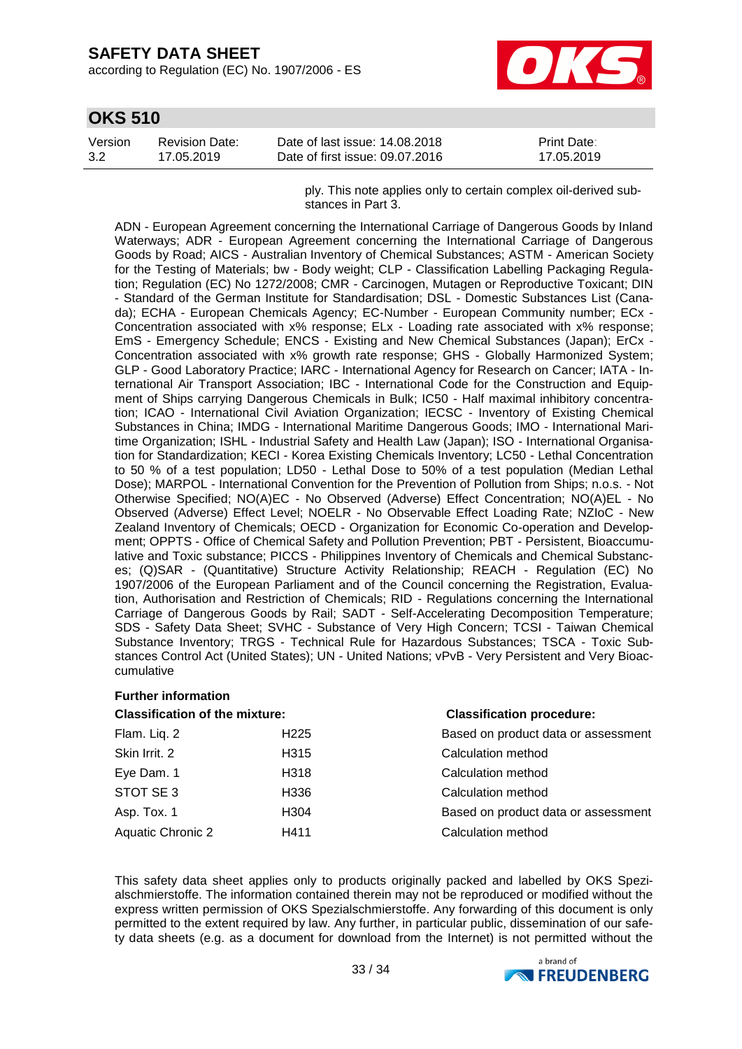according to Regulation (EC) No. 1907/2006 - ES



## **OKS 510**

| Version | Revision Date: | Date of last issue: 14.08.2018  | <b>Print Date:</b> |
|---------|----------------|---------------------------------|--------------------|
| 3.2     | 17.05.2019     | Date of first issue: 09.07.2016 | 17.05.2019         |

ply. This note applies only to certain complex oil-derived substances in Part 3.

ADN - European Agreement concerning the International Carriage of Dangerous Goods by Inland Waterways; ADR - European Agreement concerning the International Carriage of Dangerous Goods by Road; AICS - Australian Inventory of Chemical Substances; ASTM - American Society for the Testing of Materials; bw - Body weight; CLP - Classification Labelling Packaging Regulation; Regulation (EC) No 1272/2008; CMR - Carcinogen, Mutagen or Reproductive Toxicant; DIN - Standard of the German Institute for Standardisation; DSL - Domestic Substances List (Canada); ECHA - European Chemicals Agency; EC-Number - European Community number; ECx - Concentration associated with x% response; ELx - Loading rate associated with x% response; EmS - Emergency Schedule; ENCS - Existing and New Chemical Substances (Japan); ErCx - Concentration associated with x% growth rate response; GHS - Globally Harmonized System; GLP - Good Laboratory Practice; IARC - International Agency for Research on Cancer; IATA - International Air Transport Association; IBC - International Code for the Construction and Equipment of Ships carrying Dangerous Chemicals in Bulk; IC50 - Half maximal inhibitory concentration; ICAO - International Civil Aviation Organization; IECSC - Inventory of Existing Chemical Substances in China; IMDG - International Maritime Dangerous Goods; IMO - International Maritime Organization; ISHL - Industrial Safety and Health Law (Japan); ISO - International Organisation for Standardization; KECI - Korea Existing Chemicals Inventory; LC50 - Lethal Concentration to 50 % of a test population; LD50 - Lethal Dose to 50% of a test population (Median Lethal Dose); MARPOL - International Convention for the Prevention of Pollution from Ships; n.o.s. - Not Otherwise Specified; NO(A)EC - No Observed (Adverse) Effect Concentration; NO(A)EL - No Observed (Adverse) Effect Level; NOELR - No Observable Effect Loading Rate; NZIoC - New Zealand Inventory of Chemicals; OECD - Organization for Economic Co-operation and Development; OPPTS - Office of Chemical Safety and Pollution Prevention; PBT - Persistent, Bioaccumulative and Toxic substance; PICCS - Philippines Inventory of Chemicals and Chemical Substances; (Q)SAR - (Quantitative) Structure Activity Relationship; REACH - Regulation (EC) No 1907/2006 of the European Parliament and of the Council concerning the Registration, Evaluation, Authorisation and Restriction of Chemicals; RID - Regulations concerning the International Carriage of Dangerous Goods by Rail; SADT - Self-Accelerating Decomposition Temperature; SDS - Safety Data Sheet; SVHC - Substance of Very High Concern; TCSI - Taiwan Chemical Substance Inventory; TRGS - Technical Rule for Hazardous Substances; TSCA - Toxic Substances Control Act (United States); UN - United Nations; vPvB - Very Persistent and Very Bioaccumulative

### **Further information**

| <b>Classification of the mixture:</b> |                  | <b>Classification procedure:</b>    |
|---------------------------------------|------------------|-------------------------------------|
| Flam. Liq. 2                          | H <sub>225</sub> | Based on product data or assessment |
| Skin Irrit. 2                         | H <sub>315</sub> | Calculation method                  |
| Eye Dam. 1                            | H318             | Calculation method                  |
| STOT SE 3                             | H336             | Calculation method                  |
| Asp. Tox. 1                           | H304             | Based on product data or assessment |
| Aquatic Chronic 2                     | H411             | Calculation method                  |

This safety data sheet applies only to products originally packed and labelled by OKS Spezialschmierstoffe. The information contained therein may not be reproduced or modified without the express written permission of OKS Spezialschmierstoffe. Any forwarding of this document is only permitted to the extent required by law. Any further, in particular public, dissemination of our safety data sheets (e.g. as a document for download from the Internet) is not permitted without the